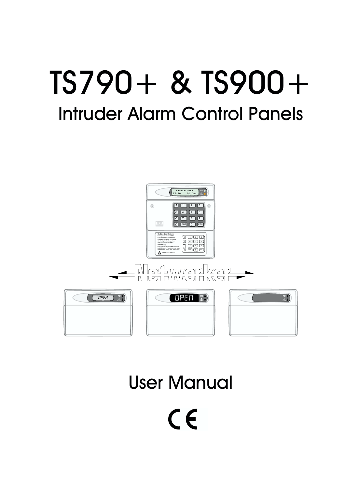# TS790+ & TS900+ Intruder Alarm Control Panels



# User Manual

 $C<sub>f</sub>$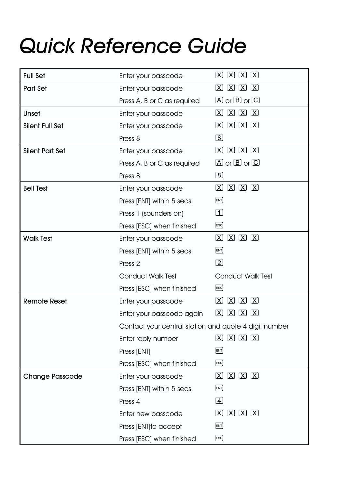# *Quick Reference Guide*

| <b>Full Set</b>        | Enter your passcode                                   | $[X]$ $[X]$<br>$\left[ \mathrm{X}\right]$<br>[X]                                   |
|------------------------|-------------------------------------------------------|------------------------------------------------------------------------------------|
| Part Set               | Enter your passcode                                   | $(X)$ $(X)$ $(X)$ $(X)$                                                            |
|                        | Press A, B or C as required                           | $\Box$ or $\Box$ or $\Box$                                                         |
| Unset                  | Enter your passcode                                   | $\boxed{X}$ $\boxed{X}$ $\boxed{X}$ $\boxed{X}$                                    |
| <b>Silent Full Set</b> | Enter your passcode                                   | $[X]$ $[X]$ $[X]$<br>$\lfloor \mathsf{X} \rfloor$                                  |
|                        | $\lceil 8 \rceil$<br>Press 8                          |                                                                                    |
| <b>Silent Part Set</b> | Enter your passcode                                   | $[X]$ $[X]$ $[X]$ $[X]$                                                            |
|                        | Press A, B or C as required                           | $\Box$ or $\Box$ or $\Box$                                                         |
|                        | Press 8                                               | $\boxed{8}$                                                                        |
| <b>Bell Test</b>       | Enter your passcode                                   | $[X]$ $[X]$ $[X]$ $[X]$                                                            |
|                        | Press [ENT] within 5 secs.                            | [ENT]                                                                              |
|                        | Press 1 (sounders on)                                 | $\Box$                                                                             |
|                        | Press [ESC] when finished                             | ESC                                                                                |
| <b>Walk Test</b>       | Enter your passcode                                   | $[X]$ $[X]$ $[X]$ $[X]$                                                            |
|                        | Press [ENT] within 5 secs.                            | [ENT]                                                                              |
|                        |                                                       |                                                                                    |
|                        | Press <sub>2</sub>                                    | $\left[\overline{2}\right]$                                                        |
|                        | <b>Conduct Walk Test</b>                              | <b>Conduct Walk Test</b>                                                           |
|                        | Press [ESC] when finished                             | ESC                                                                                |
| <b>Remote Reset</b>    | Enter your passcode                                   | $[X]$ $[X]$<br>$\lfloor \chi \rfloor$<br>$\lfloor x \rfloor$                       |
|                        | Enter your passcode again                             | $\boxed{\mathbf{X}}$<br>$\boxed{\mathbf{X}}$<br>$\boxtimes$<br>$\lfloor x \rfloor$ |
|                        | Contact your central station and quote 4 digit number |                                                                                    |
|                        | Enter reply number                                    | $(X)$ $(X)$ $(X)$ $(X)$                                                            |
|                        | Press [ENT]                                           | [ENT]                                                                              |
|                        | Press [ESC] when finished                             | $[\mathsf{esc}]$                                                                   |
| <b>Change Passcode</b> | Enter your passcode                                   | $(X)$ $(X)$ $(X)$ $(X)$                                                            |
|                        | Press [ENT] within 5 secs.                            | [ENT]                                                                              |
|                        | Press 4                                               | $\boxed{4}$                                                                        |
|                        | Enter new passcode                                    | $[X]$ $[X]$ $[X]$<br>$\left[\mathrm{X}\right]$                                     |
|                        | Press [ENT]to accept                                  | [ENT]                                                                              |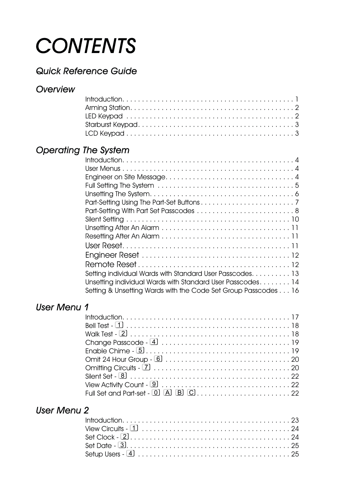# *CONTENTS*

# *Quick Reference Guide*

### *Overview*

# *Operating The System*

| Setting individual Wards with Standard User Passcodes. 13      |
|----------------------------------------------------------------|
| Unsetting individual Wards with Standard User Passcodes14      |
| Setting & Unsetting Wards with the Code Set Group Passcodes 16 |

## *User Menu 1*

| View Activity Count - $9 \dots \dots \dots \dots \dots \dots \dots \dots \dots \dots \dots \dots \dots \dots$ |
|---------------------------------------------------------------------------------------------------------------|
|                                                                                                               |

### *User Menu 2*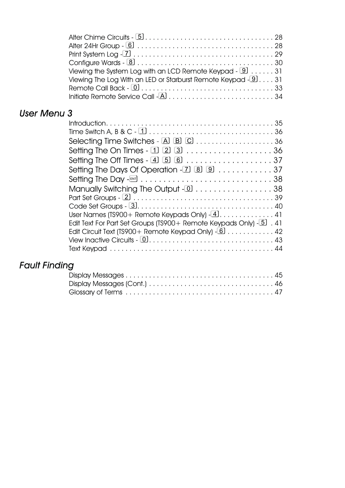| Viewing the System Log with an LCD Remote Keypad - $9 \ldots 31$ |
|------------------------------------------------------------------|
| Viewing The Log With an LED or Starburst Remote Keypad $-931$    |
|                                                                  |
|                                                                  |

# *User Menu 3*

|                                                                                                                                                                                                                                        | Selecting Time Switches - $[{\bf A} \hspace{1mm} {\bf B} \hspace{1mm} {\bf C} \hspace{1mm} \ldots \hspace{1mm} \ldots \hspace{1mm} \ldots \hspace{1mm} \ldots \hspace{1mm} 36$ |
|----------------------------------------------------------------------------------------------------------------------------------------------------------------------------------------------------------------------------------------|--------------------------------------------------------------------------------------------------------------------------------------------------------------------------------|
| Manually Switching The Output - [D] 38<br>User Names (TS900 + Remote Keypads Only) $\overline{4}$ 41<br>Edit Text For Part Set Groups (TS900 + Remote Keypads Only) $-5$ . 41<br>Edit Circuit Text (TS900 + Remote Keypad Only) - 6 42 |                                                                                                                                                                                |
|                                                                                                                                                                                                                                        |                                                                                                                                                                                |
|                                                                                                                                                                                                                                        |                                                                                                                                                                                |
|                                                                                                                                                                                                                                        |                                                                                                                                                                                |
|                                                                                                                                                                                                                                        |                                                                                                                                                                                |
|                                                                                                                                                                                                                                        |                                                                                                                                                                                |
|                                                                                                                                                                                                                                        |                                                                                                                                                                                |
|                                                                                                                                                                                                                                        |                                                                                                                                                                                |
|                                                                                                                                                                                                                                        |                                                                                                                                                                                |
|                                                                                                                                                                                                                                        |                                                                                                                                                                                |

# *Fault Finding*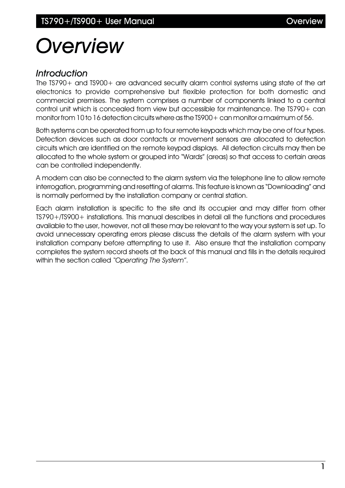# *Overview*

#### *Introduction*

The TS790+ and TS900+ are advanced security alarm control systems using state of the art electronics to provide comprehensive but flexible protection for both domestic and commercial premises. The system comprises a number of components linked to a central control unit which is concealed from view but accessible for maintenance. The TS790+ can monitor from 10 to 16 detection circuits where as the TS900+ can monitor a maximum of 56.

Both systems can be operated from up to four remote keypads which may be one of four types. Detection devices such as door contacts or movement sensors are allocated to detection circuits which are identified on the remote keypad displays. All detection circuits may then be allocated to the whole system or grouped into "Wards" (areas) so that access to certain areas can be controlled independently.

A modem can also be connected to the alarm system via the telephone line to allow remote interrogation, programming and resetting of alarms. This feature is known as "Downloading" and is normally performed by the installation company or central station.

Each alarm installation is specific to the site and its occupier and may differ from other TS790+/TS900+ installations. This manual describes in detail all the functions and procedures available to the user, however, not all these may be relevant to the way your system is set up. To avoid unnecessary operating errors please discuss the details of the alarm system with your installation company before attempting to use it. Also ensure that the installation company completes the system record sheets at the back of this manual and fills in the details required within the section called *"Operating The System"*.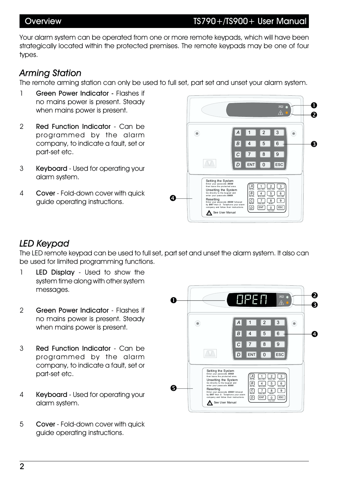Your alarm system can be operated from one or more remote keypads, which will have been strategically located within the protected premises. The remote keypads may be one of four types.

#### *Arming Station*

The remote arming station can only be used to full set, part set and unset your alarm system.

- 1 Green Power Indicator Flashes if no mains power is present. Steady when mains power is present.
- 2 Red Function Indicator Can be programmed by the alarm company, to indicate a fault, set or part-set etc.
- 3 Keyboard Used for operating your alarm system.
- 4 Cover Fold-down cover with quick guide operating instructions.



### *LED Keypad*

The LED remote keypad can be used to full set, part set and unset the alarm system. It also can be used for limited programming functions.

- 1 LED Display Used to show the system time along with other system messages.
- 2 Green Power Indicator Flashes if no mains power is present. Steady when mains power is present.
- 3 Red Function Indicator Can be programmed by the alarm company, to indicate a fault, set or part-set etc.
- 4 Keyboard Used for operating your alarm system.
- 5 Cover Fold-down cover with quick guide operating instructions.

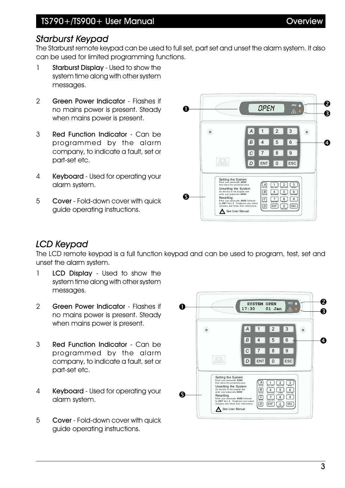### *Starburst Keypad*

The Starburst remote keypad can be used to full set, part set and unset the alarm system. It also can be used for limited programming functions.

- 1 Starburst Display Used to show the system time along with other system messages.
- 2 Green Power Indicator Flashes if no mains power is present. Steady when mains power is present.
- 3 Red Function Indicator Can be programmed by the alarm company, to indicate a fault, set or part-set etc.
- 4 Keyboard Used for operating your alarm system.
- 5 Cover Fold-down cover with quick guide operating instructions.



- 1 **LCD Display** Used to show the system time along with other system messages.
- 2 Green Power Indicator Flashes if no mains power is present. Steady when mains power is present.
- 3 Red Function Indicator Can be programmed by the alarm company, to indicate a fault, set or part-set etc.
- 4 Keyboard Used for operating your alarm system.
- 5 Cover Fold-down cover with quick guide operating instructions.



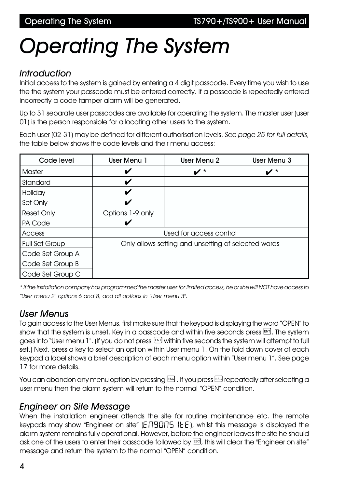# *Operating The System*

#### *Introduction*

Initial access to the system is gained by entering a 4 digit passcode. Every time you wish to use the the system your passcode must be entered correctly. If a passcode is repeatedly entered incorrectly a code tamper alarm will be generated.

Up to 31 separate user passcodes are available for operating the system. The master user (user 01) is the person responsible for allocating other users to the system.

Each user (02-31) may be defined for different authorisation levels. *See page 25 for full details*, the table below shows the code levels and their menu access:

| Code level            | <b>User Menu 1</b>                                  | User Menu 2          | User Menu 3        |  |
|-----------------------|-----------------------------------------------------|----------------------|--------------------|--|
| <b>Master</b>         | V                                                   | $\boldsymbol{\nu}$ * | $\boldsymbol{v}^*$ |  |
| Standard              | V                                                   |                      |                    |  |
| Holiday               | V                                                   |                      |                    |  |
| Set Only              | V                                                   |                      |                    |  |
| <b>Reset Only</b>     | Options 1-9 only                                    |                      |                    |  |
| PA Code               |                                                     |                      |                    |  |
| Access                | Used for access control                             |                      |                    |  |
| <b>Full Set Group</b> | Only allows setting and unsetting of selected wards |                      |                    |  |
| Code Set Group A      |                                                     |                      |                    |  |
| Code Set Group B      |                                                     |                      |                    |  |
| Code Set Group C      |                                                     |                      |                    |  |

*\* If the installation company has programmed the master user for limited access, he or she will NOT have access to "User menu 2" options 6 and 8, and all options in "User menu 3".*

#### *User Menus*

To gain access to the User Menus, first make sure that the keypad is displaying the word "OPEN" to show that the system is unset. Key in a passcode and within five seconds press  $\mathbb{R}^n$ . The system goes into "User menu 1". (If you do not press  $\mathbb{R}$  within five seconds the system will attempt to full set.) Next, press a key to select an option within User menu 1. On the fold down cover of each keypad a label shows a brief description of each menu option within "User menu 1". See page 17 for more details.

You can abandon any menu option by pressing **ESC**. If you press **ESC** repeatedly after selecting a user menu then the alarm system will return to the normal "OPEN" condition.

#### *Engineer on Site Message*

When the installation engineer attends the site for routine maintenance etc. the remote keypads may show "Engineer on site"  $(E \cap \overline{G} \cap \overline{G})$  IEE), whilst this message is displayed the alarm system remains fully operational. However, before the engineer leaves the site he should ask one of the users to enter their passcode followed by <sup>[550]</sup>, this will clear the "Engineer on site" message and return the system to the normal "OPEN" condition.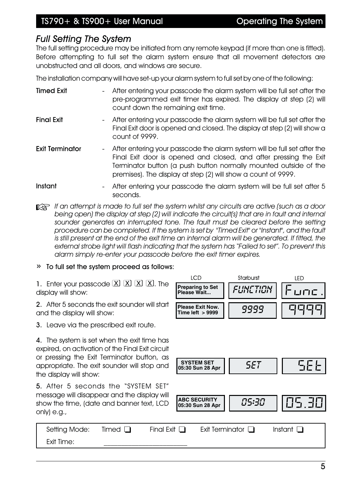#### *Full Setting The System*

The full setting procedure may be initiated from any remote keypad (if more than one is fitted). Before attempting to full set the alarm system ensure that all movement detectors are unobstructed and all doors, and windows are secure.

The installation company will have set-up your alarm system to full set by one of the following:

| <b>Timed Exit</b>      |   | - After entering your passcode the alarm system will be full set after the<br>pre-programmed exit timer has expired. The display at step (2) will<br>count down the remaining exit time.                                                                                             |
|------------------------|---|--------------------------------------------------------------------------------------------------------------------------------------------------------------------------------------------------------------------------------------------------------------------------------------|
| <b>Final Exit</b>      |   | - After entering your passcode the alarm system will be full set after the<br>Final Exit door is opened and closed. The display at step (2) will show a<br>count of 9999.                                                                                                            |
| <b>Exit Terminator</b> |   | - After entering your passcode the alarm system will be full set after the<br>Final Exit door is opened and closed, and after pressing the Exit<br>Terminator button (a push button normally mounted outside of the<br>premises). The display at step (2) will show a count of 9999. |
| Instant                | - | After entering your passcode the alarm system will be full set after 5<br>seconds.                                                                                                                                                                                                   |

**If an attempt is made to full set the system whilst any circuits are active (such as a door** *being open) the display at step (2) will indicate the circuit(s) that are in fault and internal sounder generates an interrupted tone. The fault must be cleared before the setting procedure can be completed. If the system is set by "Timed Exit" or "Instant", and the fault is still present at the end of the exit time an internal alarm will be generated. If fitted, the external strobe light will flash indicating that the system has "Failed to set". To prevent this alarm simply re-enter your passcode before the exit timer expires.*

#### » To full set the system proceed as follows:

1. Enter your passcode  $[X]$   $[X]$   $[X]$   $[X]$ . The display will show:

2. After 5 seconds the exit sounder will start and the display will show:

3. Leave via the prescribed exit route.

4. The system is set when the exit time has expired, on activation of the Final Exit circuit or pressing the Exit Terminator button, as appropriate. The exit sounder will stop and the display will show:

5. After 5 seconds the "SYSTEM SET" message will disappear and the display will show the time, (date and banner text, LCD only) e.g.,





Exit Time: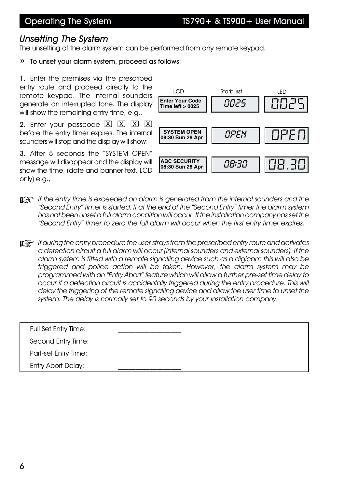#### Operating The System TS790+ & TS900+ User Manual

#### *Unsetting The System*

The unsetting of the alarm system can be performed from any remote keypad.

» To unset your alarm system, proceed as follows:

1. Enter the premises via the prescribed entry route and proceed directly to the remote keypad. The internal sounders generate an interrupted tone. The display will show the remaining entry time, e.g.,

2. Enter your passcode  $[\overline{X}]$   $[\overline{X}]$   $[\overline{X}]$   $[\overline{X}]$ before the entry timer expires. The internal sounders will stop and the display will show:

3. After 5 seconds the "SYSTEM OPEN" message will disappear and the display will show the time, (date and banner text, LCD only) e.g.,



**EX** If the entry time is exceeded an alarm is generated from the internal sounders and the *"Second Entry" timer is started. If at the end of the "Second Entry" timer the alarm system has not been unset a full alarm condition will occur. If the installation company has set the "Second Entry" timer to zero the full alarm will occur when the first entry timer expires.*

**If a** *If during the entry procedure the user strays from the prescribed entry route and activates a detection circuit a full alarm will occur (internal sounders and external sounders). If the alarm system is fitted with a remote signalling device such as a digicom this will also be triggered and police action will be taken. However, the alarm system may be programmed with an "Entry Abort" feature which will allow a further pre-set time delay to occur if a detection circuit is accidentally triggered during the entry procedure. This will delay the triggering of the remote signalling device and allow the user time to unset the system. The delay is normally set to 90 seconds by your installation company.*

| <b>Full Set Entry Time:</b> |  |  |
|-----------------------------|--|--|
| Second Entry Time:          |  |  |
| Part-set Entry Time:        |  |  |
| <b>Entry Abort Delay:</b>   |  |  |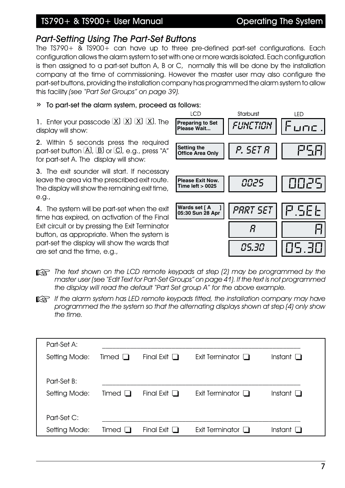### TS790+ & TS900+ User Manual Coperating The System

#### *Part-Setting Using The Part-Set Buttons*

The TS790+ & TS900+ can have up to three pre-defined part-set configurations. Each configuration allows the alarm system to set with one or more wards isolated. Each configuration is then assigned to a part-set button A, B or C, normally this will be done by the installation company at the time of commissioning. However the master user may also configure the part-set buttons, providing the installation company has programmed the alarm system to allow this facility *(see "Part Set Groups" on page 39).*

#### » To part-set the alarm system, proceed as follows:

1. Enter your passcode  $X \times X$   $X \times X$ . The display will show:

2. Within 5 seconds press the required part-set button  $\Box$ ,  $\Box$  or  $\Box$ , e.g., press "A" for part-set A. The display will show:

3. The exit sounder will start. If necessary leave the area via the prescribed exit route. The display will show the remaining exit time, e.g.,

4. The system will be part-set when the exit time has expired, on activation of the Final Exit circuit or by pressing the Exit Terminator button, as appropriate. When the system is part-set the display will show the wards that are set and the time, e.g.,



- $\mathbb{R}$  *The text shown on the LCD remote keypads at step (2) may be programmed by the master user (see "Edit Text for Part-Set Groups" on page 41). If the text is not programmed the display will read the default "Part Set group A" for the above example.*
- $\mathbb{R}$ <sup>+</sup> If the alarm system has LED remote keypads fitted, the installation company may have *programmed the the system so that the alternating displays shown at step (4) only show the time.*

| Part-Set A:   |                       |                   |                        |                |
|---------------|-----------------------|-------------------|------------------------|----------------|
| Setting Mode: | Timed $\Box$          | Final Exit $\Box$ | Exit Terminator $\Box$ | Instant $\Box$ |
|               |                       |                   |                        |                |
| Part-Set B:   |                       |                   |                        |                |
| Setting Mode: | Timed<br>$\mathbf{L}$ | Final Exit $\Box$ | Exit Terminator $\Box$ | Instant $\Box$ |
|               |                       |                   |                        |                |
| Part-Set C:   |                       |                   |                        |                |
| Setting Mode: | Timed                 | Final Exit $\Box$ | Exit Terminator [      | Instant        |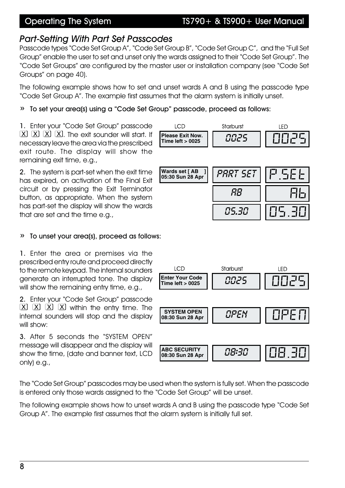#### Operating The System TS790+ & TS900+ User Manual

#### *Part-Setting With Part Set Passcodes*

Passcode types "Code Set Group A", "Code Set Group B", "Code Set Group C", and the "Full Set Group" enable the user to set and unset only the wards assigned to their "Code Set Group". The "Code Set Groups" are configured by the master user or installation company (see "Code Set Groups" on page 40).

The following example shows how to set and unset wards A and B using the passcode type "Code Set Group A". The example first assumes that the alarm system is initially unset.

» To set your area(s) using a "Code Set Group" passcode, proceed as follows:

1. Enter your "Code Set Group" passcode  $[\overline{X}]\overline{X}$   $[\overline{X}]\overline{X}$ . The exit sounder will start. If necessary leave the area via the prescribed exit route. The display will show the remaining exit time, e.g.,

2. The system is part-set when the exit time has expired, on activation of the Final Exit circuit or by pressing the Exit Terminator button, as appropriate. When the system has part-set the display will show the wards that are set and the time e.g.,

#### » To unset your area(s), proceed as follows:

1. Enter the area or premises via the prescribed entry route and proceed directly to the remote keypad. The internal sounders generate an interrupted tone. The display will show the remaining entry time, e.g.,

2. Enter your "Code Set Group" passcode  $(X)$   $(X)$   $(X)$   $(X)$  within the entry time. The internal sounders will stop and the display will show:

3. After 5 seconds the "SYSTEM OPEN" message will disappear and the display will show the time, (date and banner text, LCD only) e.g.,

The "Code Set Group" passcodes may be used when the system is fully set. When the passcode is entered only those wards assigned to the "Code Set Group" will be unset.

The following example shows how to unset wards A and B using the passcode type "Code Set Group A". The example first assumes that the alarm system is initially full set.



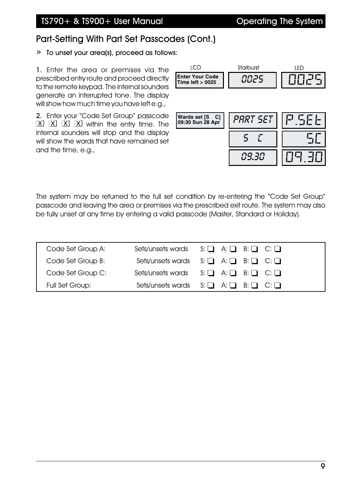# Part-Setting With Part Set Passcodes (Cont.)

» To unset your area(s), proceed as follows:

1. Enter the area or premises via the prescribed entry route and proceed directly to the remote keypad. The internal sounders generate an interrupted tone. The display will show how much time you have left e.g.,

2. Enter your "Code Set Group" passcode  $(X)$   $(X)$   $(X)$   $(X)$  within the entry time. The internal sounders will stop and the display will show the wards that have remained set and the time, e.g.,

| TCD                                         | Starburst    | LED   |
|---------------------------------------------|--------------|-------|
| <b>IEnter Your Code</b><br>Time left > 0025 | 8825         | 0025  |
|                                             |              |       |
| Wards set [S C]<br>09:30 Sun 28 Apr         | PART SET     | PSEE  |
|                                             | $\mathbf{5}$ |       |
|                                             | 09.30        | 日日 引口 |

The system may be returned to the full set condition by re-entering the "Code Set Group" passcode and leaving the area or premises via the prescribed exit route. The system may also be fully unset at any time by entering a valid passcode (Master, Standard or Holiday).

| Code Set Group A: | Sets/unsets wards $S: \Box A: \Box B: \Box C: \Box$ |
|-------------------|-----------------------------------------------------|
| Code Set Group B: | Sets/unsets wards $S: \Box A: \Box B: \Box C: \Box$ |
| Code Set Group C: | Sets/unsets wards $S: \Box A: \Box B: \Box C: \Box$ |
| Full Set Group:   | Sets/unsets wards $S: \Box A: \Box B: \Box C: \Box$ |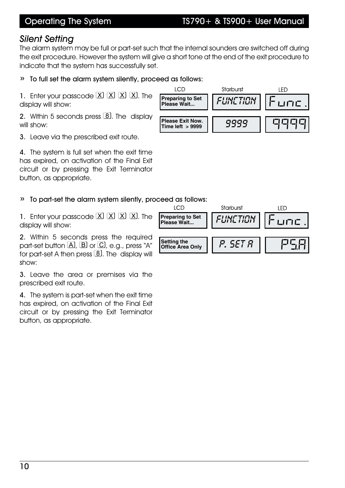#### Operating The System TS790+ & TS900+ User Manual

#### *Silent Setting*

The alarm system may be full or part-set such that the internal sounders are switched off during the exit procedure. However the system will give a short tone at the end of the exit procedure to indicate that the system has successfully set.

#### » To full set the alarm system silently, proceed as follows:

1. Enter your passcode  $[\overline{X}][\overline{X}][\overline{X}]$ . The display will show:

2. Within 5 seconds press  $[8]$ . The display will show:

3. Leave via the prescribed exit route.

4. The system is full set when the exit time has expired, on activation of the Final Exit circuit or by pressing the Exit Terminator button, as appropriate.

#### » To part-set the alarm system silently, proceed as follows:

1. Enter your passcode  $[\overline{X}][\overline{X}][\overline{X}]$ . The display will show:

2. Within 5 seconds press the required part-set button  $\overline{A}$ ,  $\overline{B}$  or  $\overline{C}$ , e.g., press "A" for part-set A then press  $[8]$ . The display will show:

3. Leave the area or premises via the prescribed exit route.

4. The system is part-set when the exit time has expired, on activation of the Final Exit circuit or by pressing the Exit Terminator button, as appropriate.



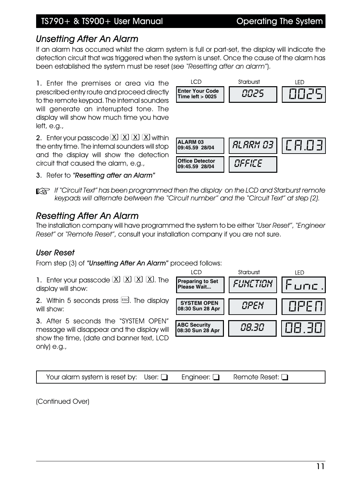### TS790+ & TS900+ User Manual Coperating The System

### *Unsetting After An Alarm*

If an alarm has occurred whilst the alarm system is full or part-set, the display will indicate the detection circuit that was triggered when the system is unset. Once the cause of the alarm has been established the system must be reset (*see "Resetting after an alarm"*).

1. Enter the premises or area via the prescribed entry route and proceed directly to the remote keypad. The internal sounders will generate an interrupted tone. The display will show how much time you have  $left, e.a.,$ 

2. Enter your passcode  $X \times X$   $X \times X$ the entry time. The internal sounders will stop and the display will show the detection circuit that caused the alarm, e.g.,

3. Refer to *"Resetting after an Alarm"*



 $\mathbb{R}$ <sup>+</sup> *If "Circuit Text" has been programmed then the display on the LCD and Starburst remote keypads will alternate between the "Circuit number" and the "Circuit Text" at step (2).*

### *Resetting After An Alarm*

The installation company will have programmed the system to be either *"User Reset"*, *"Engineer Reset"* or *"Remote Reset"*, consult your installation company if you are not sure.

#### *User Reset*

From step (3) of *"Unsetting After An Alarm"* proceed follows:

1. Enter your passcode  $[\overline{X}][\overline{X}][\overline{X}]$ . The display will show:

2. Within 5 seconds press  $\left[\cos\theta\right]$ . The display will show:

3. After 5 seconds the "SYSTEM OPEN" message will disappear and the display will show the time, (date and banner text, LCD only) e.g.,



|  | Your alarm system is reset by: User: $\Box$ |  | Engineer: $\square$ | Remote Reset: $\Box$ |
|--|---------------------------------------------|--|---------------------|----------------------|
|--|---------------------------------------------|--|---------------------|----------------------|

(Continued Over)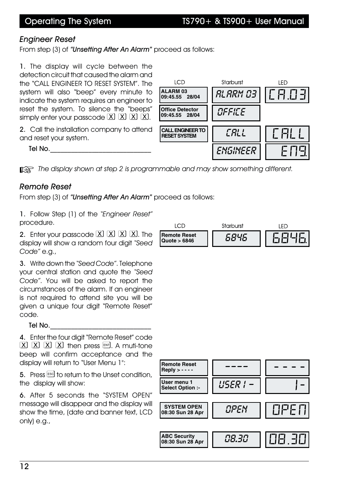**09:45.55 28/04** *ALARM 03* CA.03

LED

Starburst

#### *Engineer Reset*

From step (3) of *"Unsetting After An Alarm"* proceed as follows:

1. The display will cycle between the detection circuit that caused the alarm and the "CALL ENGINEER TO RESET SYSTEM". The system will also "beep" every minute to indicate the system requires an engineer to reset the system. To silence the "beeps" simply enter your passcode  $[\overline{X}][\overline{X}][\overline{X}][\overline{X}]$ .

2. Call the installation company to attend and reset your system.

Tel No.

**ALARM 03 Office Detector**<br>09:45.55 **28/04 09:45.55 28/04** *OFFICE* **CALLENGINEERTO RESETSYSTEM** *CALL* CALL *ENGINEER* 

+ *The display shown at step 2 is programmable and may show something different.*

**LCD** 

#### *Remote Reset*

From step (3) of *"Unsetting After An Alarm"* proceed as follows:

1. Follow Step (1) of the *"Engineer Reset"* procedure.

2. Enter your passcode  $[X]$   $[X]$   $[X]$   $[X]$ . The display will show a random four digit *"Seed Code"* e.g.,

3. Write down the *"Seed Code"*. Telephone your central station and quote the *"Seed Code"*. You will be asked to report the circumstances of the alarm. If an engineer is not required to attend site you will be given a unique four digit "Remote Reset" code.

Tel No. $\blacksquare$ 

4. Enter the four digit "Remote Reset" code  $\boxed{\mathrm{X}}$   $\boxed{\mathrm{X}}$   $\boxed{\mathrm{X}}$   $\boxed{\mathrm{X}}$  then press  $\boxed{\mathrm{en}^2}$ . A muti-tone beep will confirm acceptance and the display will return to "User Menu 1":

5. Press  $\text{ESC}$  to return to the Unset condition, the display will show:

6. After 5 seconds the "SYSTEM OPEN" message will disappear and the display will show the time, (date and banner text, LCD only) e.g.,



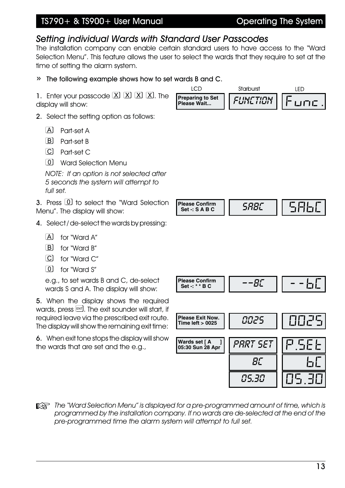### TS790+ & TS900+ User Manual Coperating The System

### *Setting individual Wards with Standard User Passcodes*

The installation company can enable certain standard users to have access to the "Ward Selection Menu". This feature allows the user to select the wards that they require to set at the time of setting the alarm system.

**ICD** 

#### » The following example shows how to set wards B and C.

1. Enter your passcode  $[\overline{X}][\overline{X}][\overline{X}][\overline{X}]$ . The display will show:

- 2. Select the setting option as follows:
	- [A] Part-set A
	- [B] Part-set B
	- Part-set C
	- Ward Selection Menu

*NOTE: If an option is not selected after 5 seconds the system will attempt to full set.*

3. Press 0 to select the "Ward Selection Menu". The display will show:

- 4. Select / de-select the wards by pressing:
	- [A] for "Ward A"
	- B for "Ward B"
	- for "Ward C"
	- [0] for "Ward S"

e.g., to set wards B and C, de-select wards S and A. The display will show:

5. When the display shows the required wards, press  $\boxed{\phantom{0}^{[8]}$ . The exit sounder will start, if required leave via the prescribed exit route. The display will show the remaining exit time:

6. When exit tone stops the display will show the wards that are set and the e.g.,

**The "Ward Selection Menu" is displayed for a pre-programmed amount of time, which is** *programmed by the installation company. If no wards are de-selected at the end of the pre-programmed time the alarm system will attempt to full set.* Preparing to Set || *FUNCTION* || Func. Please Confirm<br>Set -: S A B C *SRBC* -  $\vert\vert$  586 **Please Confirm Set -: \* \* B C**  $\begin{bmatrix} 1 & - & -B & -B \\ 0 & - & -B & -B \\ 0 & 0 & -B & -B \end{bmatrix}$ **Please Exit Now. Please Exit Now.**<br>Time left > 0025 | 0025 **Wards set [ A ] Wards set [ A \_ ] | | PART SET**<br>05:30 Sun 28 Apr | | PART SET *BC* || 6*C 05.30* 05.30

Starburst

LED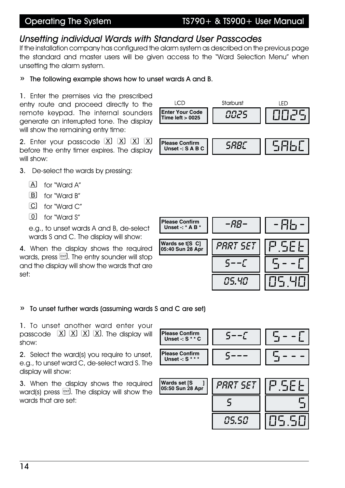#### Operating The System TS790+ & TS900+ User Manual

#### *Unsetting individual Wards with Standard User Passcodes*

If the installation company has configured the alarm system as described on the previous page the standard and master users will be given access to the "Ward Selection Menu" when unsetting the alarm system.

#### » The following example shows how to unset wards A and B.

1. Enter the premises via the prescribed entry route and proceed directly to the remote keypad. The internal sounders generate an interrupted tone. The display will show the remaining entry time:

2. Enter your passcode  $X \times X$   $X \times Y$ before the entry timer expires. The display will show:

- 3. De-select the wards by pressing:
	- [A] for "Ward A"
	- for "Ward B"
	- for "Ward C"
	- for "Ward S"

e.g., to unset wards A and B, de-select wards S and C. The display will show:

4. When the display shows the required wards, press  $\text{EM}$ , The entry sounder will stop and the display will show the wards that are set:



#### » To unset further wards (assuming wards S and C are set)

1. To unset another ward enter your passcode  $[\overline{X}]\overline{X}]\overline{X}$   $[\overline{X}]$ . The display will show:

2. Select the ward(s) you require to unset, e.g., to unset ward C, de-select ward S. The display will show:

3. When the display shows the required ward(s) press  $\overline{em}$ . The display will show the wards that are set:



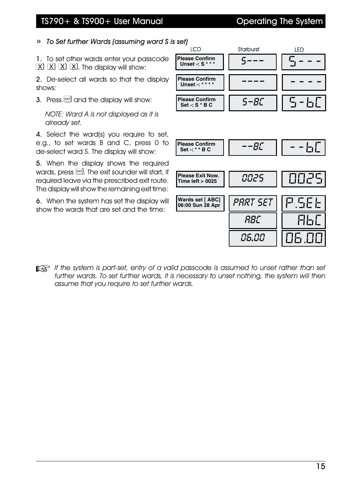#### TS790+ & TS900+ User Manual Coperating The System

» *To Set further Wards (assuming ward S is set)*

1. To set other wards enter your passcode  $[\overline{X}][\overline{X}][\overline{X}][\overline{X}]$ . The display will show:

2. De-select all wards so that the display shows:

3. Press  $\overline{em}$  and the display will show:

*NOTE: Ward A is not displayed as it is already set.*

4. Select the ward(s) you require to set, e.g., to set wards B and C, press 0 to de-select ward S. The display will show:

5. When the display shows the required wards, press  $\mathbb{R}$ . The exit sounder will start, if required leave via the prescribed exit route. The display will show the remaining exit time:

6. When the system has set the display will show the wards that are set and the time:



**It is a light if the system is part-set, entry of a valid passcode is assumed to unset rather than set** *further wards. To set further wards, it is necessary to unset nothing, the system will then assume that you require to set further wards.*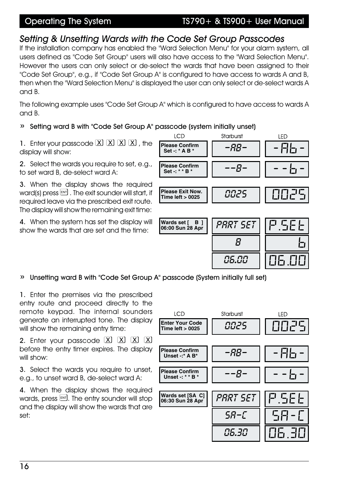#### Operating The System TS790+ & TS900+ User Manual

### *Setting & Unsetting Wards with the Code Set Group Passcodes*

If the installation company has enabled the "Ward Selection Menu" for your alarm system, all users defined as "Code Set Group" users will also have access to the "Ward Selection Menu". However the users can only select or de-select the wards that have been assigned to their "Code Set Group", e.g., if "Code Set Group A" is configured to have access to wards A and B, then when the "Ward Selection Menu" is displayed the user can only select or de-select wards A and B.

The following example uses "Code Set Group A" which is configured to have access to wards A and B.

#### » Setting ward B with "Code Set Group A" passcode (system initially unset)

1. Enter your passcode  $X \times X$   $X \times X$ , the display will show:

2. Select the wards you require to set, e.g., to set ward B, de-select ward A:

3. When the display shows the required ward(s) press  $\left[\begin{smallmatrix} \text{ENT} \end{smallmatrix}\right]$ . The exit sounder will start, if required leave via the prescribed exit route. The display will show the remaining exit time:

4. When the system has set the display will show the wards that are set and the time:



» Unsetting ward B with "Code Set Group A" passcode (System initially full set)

1. Enter the premises via the prescribed entry route and proceed directly to the remote keypad. The internal sounders generate an interrupted tone. The display will show the remaining entry time:

2. Enter your passcode  $[\overline{X}]$   $[\overline{X}]$   $[\overline{X}]$   $[\overline{X}]$ before the entry timer expires. The display will show:

3. Select the wards you require to unset, e.g., to unset ward B, de-select ward A:

4. When the display shows the required wards, press  $\boxed{\phantom{0}^{[8]}$ . The entry sounder will stop and the display will show the wards that are set:

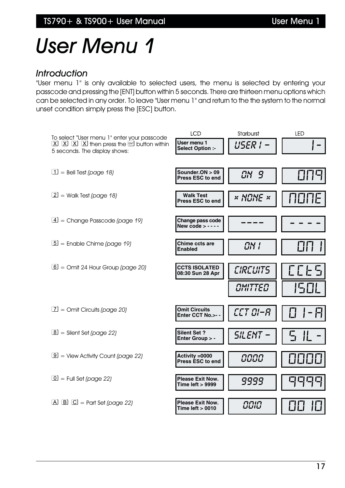# *User Menu 1*

#### *Introduction*

"User menu 1" is only available to selected users, the menu is selected by entering your passcode and pressing the [ENT] button within 5 seconds. There are thirteen menu options which can be selected in any order. To leave "User menu 1" and return to the the system to the normal unset condition simply press the [ESC] button.

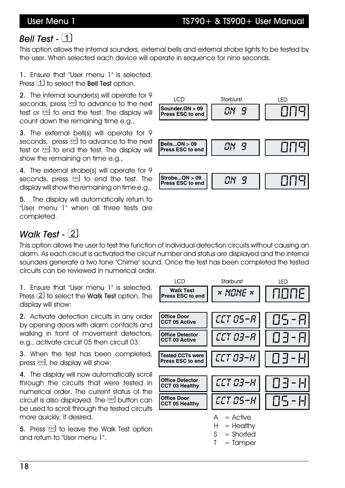### User Menu 1 TS790+ & TS900+ User Manual

# *Bell Test -*

This option allows the internal sounders, external bells and external strobe lights to be tested by the user. When selected each device will operate in sequence for nine seconds.

1. Ensure that "User menu 1" is selected. Press  $\Box$  to select the Bell Test option.

2. The internal sounder(s) will operate for 9 seconds, press ENT to advance to the next test or  $\text{ESC}$  to end the test. The display will count down the remaining time e.g.,

3. The external bell(s) will operate for 9 seconds, press ENT to advance to the next test or  $\text{ES}$  to end the test. The display will show the remaining on time e.g.,

4. The external strobe(s) will operate for 9 seconds, press  $\text{esd}$  to end the test. The display will show the remaining on time e.g.,

5. The display will automatically return to "User menu 1" when all three tests are completed.

# **LCD** Starburst **IFD Sounder.ON > 09 ||** *CIN 9* || CICICI **Bells...ON > 09 Press ESC to end | | CIN 9 ON 9 ON 1 ON**<br>Press ESC to end | | CIN 9 ON **Strobe...ON > 09 Press ESC to end**  $\begin{bmatrix} 0 & 0 \\ 0 & 0 \end{bmatrix}$   $\begin{bmatrix} 0 & 0 \\ 0 & 0 \end{bmatrix}$

# *Walk Test -* 2

This option allows the user to test the function of individual detection circuits without causing an alarm. As each circuit is activated the circuit number and status are displayed and the internal sounders generate a two tone "Chime" sound. Once the test has been completed the tested circuits can be reviewed in numerical order.

1. Ensure that "User menu 1" is selected. Press  $\overline{\mathcal{Q}}$  to select the Walk Test option. The display will show:

2. Activate detection circuits in any order by opening doors with alarm contacts and walking in front of movement detectors, e.g., activate circuit 05 then circuit 03:

3. When the test has been completed, press  $\left[\cos \theta\right]$ , he display will show:

4. The display will now automatically scroll through the circuits that were tested in numerical order. The current status of the circuit is also displayed. The  $\overline{b}$  button can be used to scroll through the tested circuits more quickly, if desired.

5. Press  $\text{ES}$  to leave the Walk Test option and return to "User menu 1".

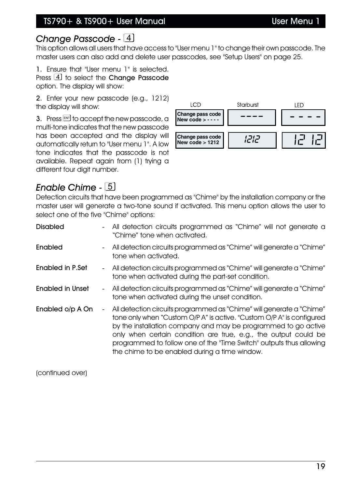### *Change Passcode -*

This option allows all users that have access to "User menu 1" to change their own passcode. The master users can also add and delete user passcodes, see "Setup Users" on page 25.

1. Ensure that "User menu 1" is selected. Press  $\overline{4}$  to select the Change Passcode option. The display will show:

2. Enter your new passcode (e.g., 1212) the display will show:

3. Press  $\text{EM}$  to accept the new passcode, a multi-tone indicates that the new passcode has been accepted and the display will automatically return to "User menu 1". A low tone indicates that the passcode is not available. Repeat again from (1) trying a different four digit number.



# *Enable Chime -*

Detection circuits that have been programmed as "Chime" by the installation company or the master user will generate a two-tone sound if activated. This menu option allows the user to select one of the five "Chime" options:

| <b>Disabled</b>         |        | All detection circuits programmed as "Chime" will not generate a<br>"Chime" tone when activated.                                                                                                                                                                                                                                                                                                           |
|-------------------------|--------|------------------------------------------------------------------------------------------------------------------------------------------------------------------------------------------------------------------------------------------------------------------------------------------------------------------------------------------------------------------------------------------------------------|
| Enabled                 |        | - All detection circuits programmed as "Chime" will generate a "Chime"<br>tone when activated.                                                                                                                                                                                                                                                                                                             |
| Enabled in P.Set        | $\sim$ | All detection circuits programmed as "Chime" will generate a "Chime"<br>tone when activated during the part-set condition.                                                                                                                                                                                                                                                                                 |
| <b>Enabled in Unset</b> |        | - All detection circuits programmed as "Chime" will generate a "Chime"<br>tone when activated during the unset condition.                                                                                                                                                                                                                                                                                  |
| Enabled o/p A On        | $\sim$ | All detection circuits programmed as "Chime" will generate a "Chime"<br>tone only when "Custom O/P A" is active. "Custom O/P A" is configured<br>by the installation company and may be programmed to go active<br>only when certain condition are true, e.g., the output could be<br>programmed to follow one of the "Time Switch" outputs thus allowing<br>the chime to be enabled during a time window. |

(continued over)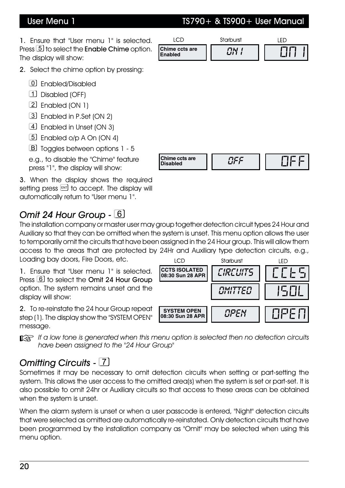# User Menu 1 TS790+ & TS900+ User Manual

1. Ensure that "User menu 1" is selected. Press **5** to select the **Enable Chime** option. The display will show:

**LCD** Starburst LED *Chime ccts are* || *CN 1* || [C][C] | **Enabled**

- 2. Select the chime option by pressing:
	- Enabled/Disabled
	- Disabled (OFF)
	- Enabled (ON 1)
	- Enabled in P.Set (ON 2)
	- Enabled in Unset (ON 3)
	- Enabled o/p A On (ON 4)
	- [B] Toggles between options 1 5

e.g., to disable the "Chime" feature press "1", the display will show:

3. When the display shows the required setting press  $F$  to accept. The display will automatically return to "User menu 1".

## *Omit 24 Hour Group -*

The installation company or master user may group together detection circuit types 24 Hour and Auxiliary so that they can be omitted when the system is unset. This menu option allows the user to temporarily omit the circuits that have been assigned in the 24 Hour group. This will allow them access to the areas that are protected by 24Hr and Auxiliary type detection circuits, e.g., Loading bay doors, Fire Doors, etc.

1. Ensure that "User menu 1" is selected. Press  $\boxed{6}$  to select the Omit 24 Hour Group option. The system remains unset and the display will show:

2. To re-reinstate the 24 hour Group repeat step (1). The display show the "SYSTEM OPEN" message.

**If a** low tone is generated when this menu option is selected then no detection circuits *have been assigned to the "24 Hour Group"*

## *Omitting Circuits -*

Sometimes it may be necessary to omit detection circuits when setting or part-setting the system. This allows the user access to the omitted area(s) when the system is set or part-set. It is also possible to omit 24hr or Auxiliary circuits so that access to these areas can be obtained when the system is unset.

When the alarm system is unset or when a user passcode is entered, "Night" detection circuits that were selected as omitted are automatically re-reinstated. Only detection circuits that have been programmed by the installation company as "Omit" may be selected when using this menu option.



**Chime ccts are Disabled** *OFF* OFF

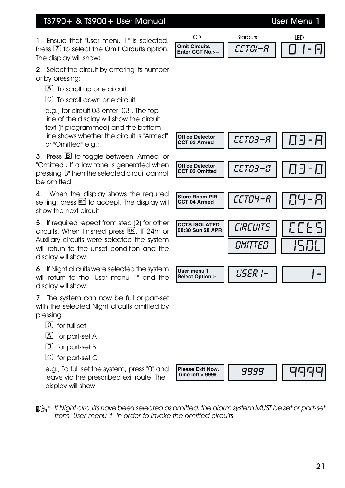### TS790+ & TS900+ User Manual User Menu

1. Ensure that "User menu 1" is selected. Press  $\boxed{7}$  to select the **Omit Circuits** option. The display will show:

2. Select the circuit by entering its number or by pressing:

- [A] To scroll up one circuit
- To scroll down one circuit

e.g., for circuit 03 enter "03". The top line of the display will show the circuit text (if programmed) and the bottom line shows whether the circuit is "Armed" or "Omitted" e.g.:

3. Press  $\boxed{B}$  to toggle between "Armed" or "Omitted". If a low tone is generated when pressing "B" then the selected circuit cannot be omitted.

4. When the display shows the required setting, press  $F_{\text{ext}}$  to accept. The display will show the next circuit:

5. If required repeat from step (2) for other circuits. When finished press  $\epsilon$ sd. If 24hr or Auxiliary circuits were selected the system will return to the unset condition and the display will show:

6. If Night circuits were selected the system will return to the "User menu 1" and the display will show:

7. The system can now be full or part-set with the selected Night circuits omitted by pressing:

- $\boxed{0}$  for full set
- A for part-set A
- B for part-set B
- for part-set C

e.g., To full set the system, press "0" and leave via the prescribed exit route. The display will show:



**Please Exit Now.** | *9999* 

**Time left > 9999**

|                                   | Starburst |  |
|-----------------------------------|-----------|--|
| Omit Circuits<br>Enter CCT No.>-- |           |  |

**Office Detector Quarter CCT03-R CCT 03 Armed Office Detector CLTD3-D CCT 03 Omitted CCTS ISOLATED** | *CIRCUITS* **08:30 Sun 28 APR** *OMITTED User* menu 1 | *USER |-***Select Option :- Store Room PIR** | *CCTCI4-R* **CCT 04 Armed**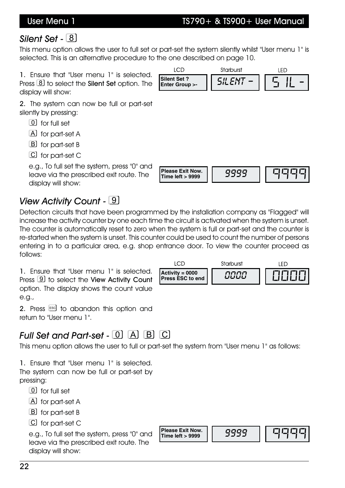# *Silent Set -*

This menu option allows the user to full set or part-set the system silently whilst "User menu 1" is selected. This is an alternative procedure to the one described on page 10.

**Enter Group >-**

**LCD** 

**Silent Set ? Silent Set ? Silent Set ? Silent Set ? Silent Set ? Silent Set ? Silent Set ? Silent Set ? Silent Set ? Silent Set ? Silent Set ? Silent Set ? Silent Set ? Silent Set ? Silent Set** 

1. Ensure that "User menu 1" is selected. Press **8** to select the **Silent Set** option. The display will show:

2. The system can now be full or part-set silently by pressing:

- for full set
- A for part-set A
- B for part-set B
- C for part-set C

e.g., To full set the system, press "0" and leave via the prescribed exit route. The display will show:

# *View Activity Count -*

Detection circuits that have been programmed by the installation company as "Flagged" will increase the activity counter by one each time the circuit is activated when the system is unset. The counter is automatically reset to zero when the system is full or part-set and the counter is re-started when the system is unset. This counter could be used to count the number of persons entering in to a particular area, e.g. shop entrance door. To view the counter proceed as follows:

1. Ensure that "User menu 1" is selected. Press **9** to select the View Activity Count option. The display shows the count value e.g.,

2. Press  $\left[\begin{smallmatrix} 1 & 0 \\ 0 & 1 \end{smallmatrix} \right]$  to abandon this option and return to "User menu 1".

# *Full Set and Part-set -*  $\boxed{0}$  $\boxed{\text{A}}$  $\boxed{\text{B}}$  $\boxed{\text{C}}$

This menu option allows the user to full or part-set the system from "User menu 1" as follows:

1. Ensure that "User menu 1" is selected.

The system can now be full or part-set by pressing:

- $\boxed{0}$  for full set
- A for part-set A
- [B] for part-set B
- for part-set C

e.g., To full set the system, press "0" and leave via the prescribed exit route. The display will show:



| imed by the installation company as "Flagged" w     |
|-----------------------------------------------------|
| me the circuit is activated when the system is unse |
| then the system is full or part-set and the counter |
| inter could be used to count the number of persor   |
| entrance door. To view the counter proceed a        |
|                                                     |

Please Exit Now. | *9999 | 이디디디* 

Starburst

LED



User Menu 1 TS790+ & TS900+ User Manual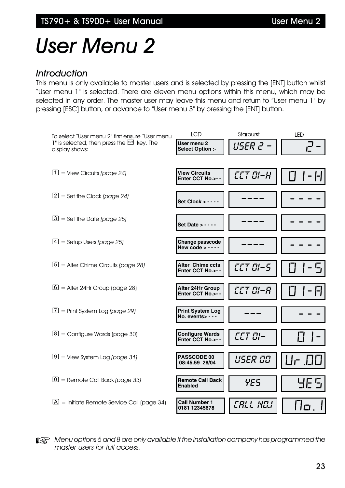# *User Menu 2*

#### *Introduction*

This menu is only available to master users and is selected by pressing the [ENT] button whilst "User menu 1" is selected. There are eleven menu options within this menu, which may be selected in any order. The master user may leave this menu and return to "User menu 1" by pressing [ESC] button, or advance to "User menu 3" by pressing the [ENT] button.



 $\mathbb{R}$  *Menu options 6 and 8 are only available if the installation company has programmed the master users for full access.*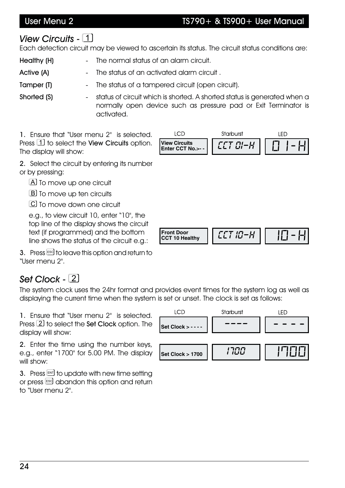### User Menu 2 TS790+ & TS900+ User Manual

# *View Circuits -*

Each detection circuit may be viewed to ascertain its status. The circuit status conditions are:

Healthy (H) The normal status of an alarm circuit.

Active (A) The status of an activated alarm circuit.

Tamper (T) The status of a tampered circuit (open circuit).

Shorted (S)  $\blacksquare$  status of circuit which is shorted. A shorted status is generated when a normally open device such as pressure pad or Exit Terminator is activated.

1. Ensure that "User menu 2" is selected. Press  $\boxed{1}$  to select the View Circuits option. The display will show:



**CCT 10 Healthy** *CCT 10-H* 10-H

2. Select the circuit by entering its number or by pressing:

A To move up one circuit

**B** To move up ten circuits

To move down one circuit

e.g., to view circuit 10, enter "10", the top line of the display shows the circuit text (if programmed) and the bottom line shows the status of the circuit e.g.:

3. Press Escl to leave this option and return to "User menu 2".

# *Set Clock - -*

The system clock uses the 24hr format and provides event times for the system log as well as displaying the current time when the system is set or unset. The clock is set as follows:

**Front Door**<br>**CCT 10 Healthy** 

1. Ensure that "User menu 2" is selected. Press  $\overline{2}$  to select the Set Clock option. The display will show:

2. Enter the time using the number keys, e.g., enter "1700" for 5.00 PM. The display will show:

**LCD** Starburst LED **Set Clock > - - - -** *----* ---- **Set Clock > 1700** *1700* 1700

3. Press  $F$  to update with new time setting or press  $\text{res}$  abandon this option and return to "User menu 2".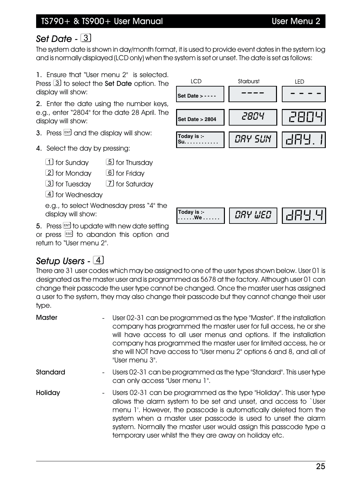# *Set Date -*

The system date is shown in day/month format, it is used to provide event dates in the system log and is normally displayed (LCD only) when the system is set or unset. The date is set as follows:

1. Ensure that "User menu 2" is selected. Press  $\boxed{3}$  to select the **Set Date** option. The display will show:

2. Enter the date using the number keys, e.g., enter "2804" for the date 28 April. The display will show:

- 3. Press  $ENT$  and the display will show:
- 4. Select the day by pressing:
	- for Sunday for Thursday
	- 2 for Monday **6** for Friday
	- 3 for Tuesday [7] for Saturday
	- [4] for Wednesday

e.g., to select Wednesday press "4" the display will show:

5. Press  $F$  to update with new date setting or press [ESC] to abandon this option and return to "User menu 2".

# *Setup Users -*

There are 31 user codes which may be assigned to one of the user types shown below. User 01 is designated as the master user and is programmed as 5678 at the factory. Although user 01 can change their passcode the user type cannot be changed. Once the master user has assigned a user to the system, they may also change their passcode but they cannot change their user type.

**Today is :-**

| <b>Master</b>                       | User 02-31 can be programmed as the type "Master". If the installation<br>company has programmed the master user for full access, he or she<br>will have access to all user menus and options. If the installation<br>company has programmed the master user for limited access, he or<br>she will NOT have access to "User menu 2" options 6 and 8, and all of<br>"User menu 3".                             |
|-------------------------------------|---------------------------------------------------------------------------------------------------------------------------------------------------------------------------------------------------------------------------------------------------------------------------------------------------------------------------------------------------------------------------------------------------------------|
| Standard<br>$\sim 100$              | Users 02-31 can be programmed as the type "Standard". This user type<br>can only access "User menu 1".                                                                                                                                                                                                                                                                                                        |
| Holiday<br>$\overline{\phantom{0}}$ | Users 02-31 can be programmed as the type "Holiday". This user type<br>allows the alarm system to be set and unset, and access to `User<br>menu 1'. However, the passcode is automatically deleted from the<br>system when a master user passcode is used to unset the alarm<br>system. Normally the master user would assign this passcode type a<br>temporary user whilst the they are away on holiday etc. |



**. . . . . .We . . . . . .** *DAY WED* DAY.4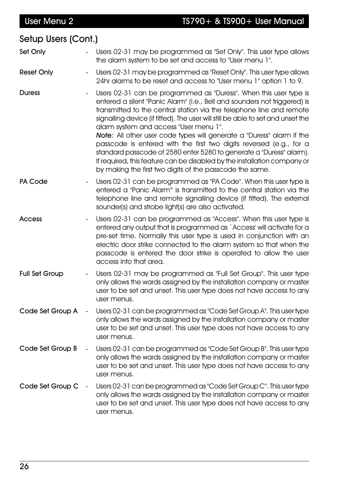| Setup Users (Cont.)   |                          |                                                                                                                                                                                                                                                                                                                                                                                                                                                                                                                                                                                                                                                                                                                           |
|-----------------------|--------------------------|---------------------------------------------------------------------------------------------------------------------------------------------------------------------------------------------------------------------------------------------------------------------------------------------------------------------------------------------------------------------------------------------------------------------------------------------------------------------------------------------------------------------------------------------------------------------------------------------------------------------------------------------------------------------------------------------------------------------------|
| Set Only              |                          | Users 02-31 may be programmed as "Set Only". This user type allows<br>the alarm system to be set and access to "User menu 1".                                                                                                                                                                                                                                                                                                                                                                                                                                                                                                                                                                                             |
| <b>Reset Only</b>     |                          | Users 02-31 may be programmed as "Reset Only". This user type allows<br>24hr alarms to be reset and access to "User menu 1" option 1 to 9.                                                                                                                                                                                                                                                                                                                                                                                                                                                                                                                                                                                |
| <b>Duress</b>         |                          | Users 02-31 can be programmed as "Duress". When this user type is<br>entered a silent "Panic Alarm" (i.e., Bell and sounders not triggered) is<br>transmitted to the central station via the telephone line and remote<br>signalling device (if fitted). The user will still be able to set and unset the<br>alarm system and access "User menu 1".<br><b>Note:</b> All other user code types will generate a "Duress" alarm if the<br>passcode is entered with the first two digits reversed (e.g., for a<br>standard passcode of 2580 enter 5280 to generate a "Duress" alarm).<br>If required, this feature can be disabled by the installation company or<br>by making the first two digits of the passcode the same. |
| <b>PA Code</b>        |                          | Users 02-31 can be programmed as "PA Code". When this user type is<br>entered a "Panic Alarm" is transmitted to the central station via the<br>telephone line and remote signalling device (if fitted). The external<br>sounder(s) and strobe light(s) are also activated.                                                                                                                                                                                                                                                                                                                                                                                                                                                |
| <b>Access</b>         |                          | Users 02-31 can be programmed as "Access". When this user type is<br>entered any output that is programmed as `Access' will activate for a<br>pre-set time. Normally this user type is used in conjunction with an<br>electric door strike connected to the alarm system so that when the<br>passcode is entered the door strike is operated to allow the user<br>access into that area.                                                                                                                                                                                                                                                                                                                                  |
| <b>Full Set Group</b> |                          | Users 02-31 may be programmed as "Full Set Group". This user type<br>only allows the wards assigned by the installation company or master<br>user to be set and unset. This user type does not have access to any<br>user menus.                                                                                                                                                                                                                                                                                                                                                                                                                                                                                          |
| Code Set Group A      |                          | Users 02-31 can be programmed as "Code Set Group A". This user type<br>only allows the wards assigned by the installation company or master<br>user to be set and unset. This user type does not have access to any<br>user menus.                                                                                                                                                                                                                                                                                                                                                                                                                                                                                        |
| Code Set Group B      | $\overline{\phantom{a}}$ | Users 02-31 can be programmed as "Code Set Group B". This user type<br>only allows the wards assigned by the installation company or master<br>user to be set and unset. This user type does not have access to any<br>user menus.                                                                                                                                                                                                                                                                                                                                                                                                                                                                                        |
| Code Set Group C      |                          | Users 02-31 can be programmed as "Code Set Group C". This user type<br>only allows the wards assigned by the installation company or master<br>user to be set and unset. This user type does not have access to any<br>user menus.                                                                                                                                                                                                                                                                                                                                                                                                                                                                                        |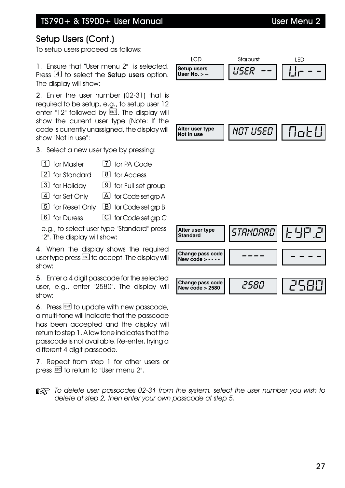# Setup Users (Cont.)

To setup users proceed as follows:

1. Ensure that "User menu 2" is selected. Press  $\boxed{4}$  to select the **Setup users** option. The display will show:

2. Enter the user number (02-31) that is required to be setup, e.g., to setup user 12 enter "12" followed by  $EM$ . The display will show the current user type (Note: If the code is currently unassigned, the display will show "Not in use":

3. Select a new user type by pressing:

- for Master for PA Code
- 2 for Standard 8 for Access
- 3 for Holiday 9 for Full set group
- 4 for Set Only A for Code set grp A
- **5** for Reset Only **B** for Code set grp B
- **6** for Duress **C** for Code set arp C

e.g., to select user type "Standard" press "2". The display will show:

4. When the display shows the required user type press  $\text{EM}$  to accept. The display will show:

5. Enter a 4 digit passcode for the selected user, e.g., enter "2580". The display will show:

6. Press  $F_{\text{N}}$  to update with new passcode, a multi-tone will indicate that the passcode has been accepted and the display will return to step 1. A low tone indicates that the passcode is not available. Re-enter, trying a different 4 digit passcode.

7. Repeat from step 1 for other users or press  $\overline{\phantom{a}}$  to return to "User menu 2".

**Text** To delete user passcodes 02-31 from the system, select the user number you wish to *delete at step 2, then enter your own passcode at step 5.*

| Alter user type<br><b>Standard</b>     | STANDARD | 는 닉日 근 |
|----------------------------------------|----------|--------|
| Change pass code<br>New code $> - -$ - |          |        |
| Change pass code<br>New code $> 2580$  | 2580     | こら日口   |

**ICD** Starburst **LED Setup users User No. > --** *USER --* Ur--

**Alter user type Not in use** *NOT USED* NoTU

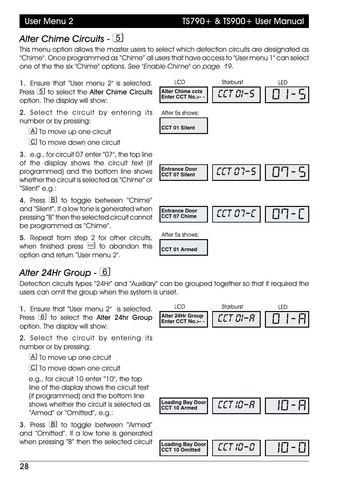#### User Menu 2 TS790+ & TS900+ User Manual

## *Alter Chime Circuits -*

This menu option allows the master users to select which detection circuits are designated as "Chime". Once programmed as "Chime" all users that have access to "User menu 1" can select one of the the six "Chime" options. *See "Enable Chime" on page 19.*

1. Ensure that "User menu 2" is selected. Press **5** to select the Alter Chime Circuits option. The display will show:

2. Select the circuit by entering its number or by pressing:

A To move up one circuit

[C] To move down one circuit

3. e.g., for circuit 07 enter "07", the top line of the display shows the circuit text (if programmed) and the bottom line shows whether the circuit is selected as "Chime" or "Silent" e.g.:

4. Press **B** to toggle between "Chime" and "Silent". If a low tone is generated when pressing "B" then the selected circuit cannot be programmed as "Chime".

5. Repeat from step 2 for other circuits, when finished press  $F^{\text{sc}}$  to abandon this option and return "User menu 2".

# *Alter 24Hr Group -*

Detection circuits types "24Hr" and "Auxiliary" can be grouped together so that if required the users can omit the group when the system is unset.

**Loading Bay Door**

1. Ensure that "User menu 2" is selected. Press **6** to select the Alter 24hr Group option. The display will show:

2. Select the circuit by entering its number or by pressing:

A To move up one circuit

[C] To move down one circuit

e.g., for circuit 10 enter "10", the top line of the display shows the circuit text (if programmed) and the bottom line shows whether the circuit is selected as "Armed" or "Omitted", e.g.:

3. Press **B** to toggle between "Armed" and "Omitted". If a low tone is generated when pressing "B" then the selected circuit







**CCT 10 Armed** *CCT 10-A* 10-A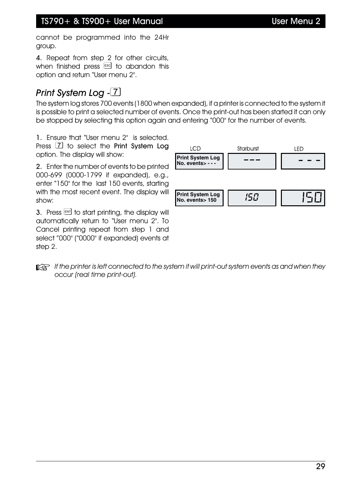#### TS790+ & TS900+ User Manual User Menu 2

cannot be programmed into the 24Hr group.

4. Repeat from step 2 for other circuits, when finished press  $\xi$  to abandon this option and return "User menu 2".

# *Print System Log -*

The system log stores 700 events (1800 when expanded), if a printer is connected to the system it is possible to print a selected number of events. Once the print-out has been started it can only be stopped by selecting this option again and entering "000" for the number of events.

1. Ensure that "User menu 2" is selected. Press **7** to select the Print System Log option. The display will show:

2. Enter the number of events to be printed 000-699 (0000-1799 if expanded), e.g., enter "150" for the last 150 events, starting with the most recent event. The display will show:

3. Press  $F$  to start printing, the display will automatically return to "User menu 2". To Cancel printing repeat from step 1 and select "000" ("0000" if expanded) events at step 2.



**If**  $\mathbb{R}$  If the printer is left connected to the system it will print-out system events as and when they *occur (real time print-out).*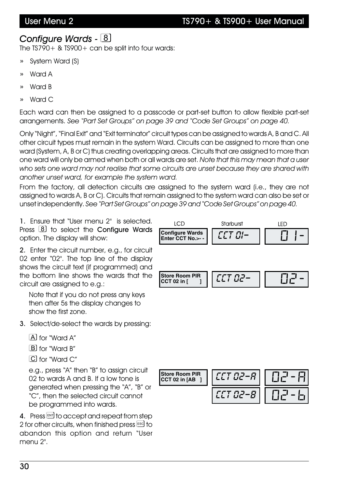### *Configure Wards -*

The TS790+ & TS900+ can be split into four wards:

- » System Ward (S)
- » Ward A
- » Ward B
- » Ward C

Each ward can then be assigned to a passcode or part-set button to allow flexible part-set arrangements. *See "Part Set Groups" on page 39 and "Code Set Groups" on page 40.*

Only "Night", "Final Exit" and "Exit terminator" circuit types can be assigned to wards A, B and C. All other circuit types must remain in the system Ward. Circuits can be assigned to more than one ward (System, A, B or C) thus creating overlapping areas. Circuits that are assigned to more than one ward will only be armed when both or all wards are set. *Note that this may mean that a user who sets one ward may not realise that some circuits are unset because they are shared with another unset ward, for example the system ward.*

From the factory, all detection circuits are assigned to the system ward (i.e., they are not assigned to wards A, B or C). Circuits that remain assigned to the system ward can also be set or unset independently. *See "Part Set Groups" on page 39 and "Code Set Groups" on page 40.*

1. Ensure that "User menu 2" is selected. Press  $\begin{bmatrix} 8 \end{bmatrix}$  to select the Configure Wards option. The display will show:

2. Enter the circuit number, e.g., for circuit 02 enter "02". The top line of the display shows the circuit text (if programmed) and the bottom line shows the wards that the circuit are assigned to e.g.:

Note that if you do not press any keys then after 5s the display changes to show the first zone.

3. Select/de-select the wards by pressing:

for "Ward A"

- BI for "Ward B"
- C for "Ward C"

e.g., press "A" then "B" to assign circuit 02 to wards A and B. If a low tone is generated when pressing the "A", "B" or "C", then the selected circuit cannot be programmed into wards.

4. Press ENT to accept and repeat from step 2 for other circuits, when finished press  $\text{I}^{\text{ssd}}$  to abandon this option and return "User menu 2".



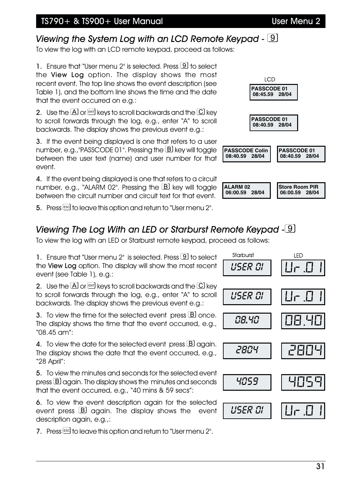#### TS790+ & TS900+ User Manual User Menu 2

# *Viewing the System Log with an LCD Remote Keypad -*

To view the log with an LCD remote keypad, proceed as follows:

1. Ensure that "User menu 2" is selected. Press **9** to select the View Log option. The display shows the most recent event. The top line shows the event description (see Table 1), and the bottom line shows the time and the date that the event occurred on e.g.:

2. Use the  $\overline{A}$  or  $\overline{M}$  keys to scroll backwards and the  $\overline{C}$  key to scroll forwards through the log, e.g., enter "A" to scroll backwards. The display shows the previous event e.g.:

3. If the event being displayed is one that refers to a user number, e.g., "PASSCODE 01". Pressing the  $B$  key will toggle between the user text (name) and user number for that event.

4. If the event being displayed is one that refers to a circuit number, e.g., "ALARM 02". Pressing the  $B$  key will toggle between the circuit number and circuit text for that event.

5. Press **Escl to leave this option and return to "User menu 2".** 

## *Viewing The Log With an LED or Starburst Remote Keypad -*

To view the log with an LED or Starburst remote keypad, proceed as follows:

1. Ensure that "User menu  $2$ " is selected. Press  $\boxed{9}$  to select the View Log option. The display will show the most recent event (see Table 1), e.g.:

2. Use the  $[A]$  or  $\left[\begin{matrix} \mathbb{R}^n \\ \mathbb{R}^n \end{matrix}\right]$  keys to scroll backwards and the  $[C]$  key to scroll forwards through the log, e.g., enter "A" to scroll backwards. The display shows the previous event e.g.:

3. To view the time for the selected event press  $\boxed{B}$  once. The display shows the time that the event occurred, e.g., "08.45 am":

4. To view the date for the selected event press  $B$  again. The display shows the date that the event occurred, e.g., "28 April":

5. To view the minutes and seconds for the selected event press  $B$  again. The display shows the minutes and seconds that the event occurred, e.g., "40 mins & 59 secs":

6. To view the event description again for the selected event press  $\mathbb B$  again. The display shows the event description again, e.g.,:

7. Press Escl to leave this option and return to "User menu 2".

Starburst LED *USER 01 USER 01* Ur.01 *08.40* 08.40 *2804* 2804 *4059* 4059 *USER 01* | ||||- <u>||</u>|



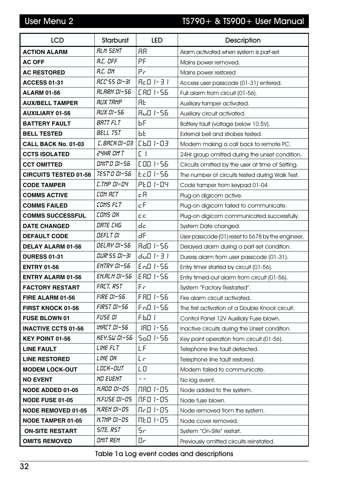# User Menu 2 TS790+ & TS900+ User Manual

| <b>LCD</b>                   | <b>Starburst</b>    | <b>LED</b>                       | <b>Description</b>                                |
|------------------------------|---------------------|----------------------------------|---------------------------------------------------|
| <b>ACTION ALARM</b>          | <b>RLM SENT</b>     | <b>AR</b>                        | Alarm activated when system is part-set.          |
| <b>AC OFF</b>                | R.C. OFF            | PF                               | Mains power removed.                              |
| <b>AC RESTORED</b>           | R.C. ON             | Pr                               | Mains power restored                              |
| <b>ACCESS 01-31</b>          | <b>RCC'SS 01-31</b> | $H \subset \Box$ $I - \exists I$ | Access user passcode (01-31) entered.             |
| <b>ALARM 01-56</b>           | <b>RLARM 01-56</b>  | CAO 1-56                         | Full alarm from circuit (01-56).                  |
| <b>AUX/BELL TAMPER</b>       | <b>RUX TRMP</b>     | <b>AL</b>                        | Auxiliary tamper activated.                       |
| <b>AUXILIARY 01-56</b>       | <b>RUX 01-56</b>    | $Hu$ $I1$ 56                     | Auxiliary circuit activated.                      |
| <b>BATTERY FAULT</b>         | <b>BRTT FLT</b>     | ЬF                               | Battery fault (voltage below 10.5V).              |
| <b>BELL TESTED</b>           | <b>BELL TST</b>     | ЬE                               | External bell and strobes tested.                 |
| CALL BACK No. 01-03          | C. BACK 01-03       | $[6D]$ $-03$                     | Modem making a call back to remote PC.            |
| <b>CCTS ISOLATED</b>         | <b>24HR OMT</b>     | [                                | 24Hr group omitted during the unset condition.    |
| <b>CCT OMITTED</b>           | <i>OMIT O 01-56</i> | COO 1-56                         | Circuits omitted by the user at time of Setting.  |
| <b>CIRCUITS TESTED 01-56</b> | <i>TEST 0 01-56</i> | $E C D 1 - 56$                   | The number of circuits tested during Walk Test.   |
| <b>CODE TAMPER</b>           | C.TMP 01-04         | <b>PED 1-04</b>                  | Code tamper from keypad 01-04                     |
| <b>COMMS ACTIVE</b>          | COM RET             | сA                               | Plug-on digicom active.                           |
| <b>COMMS FAILED</b>          | COMS FLT            | cF                               | Plug-on digicom failed to communicate.            |
| <b>COMMS SUCCESSFUL</b>      | COMS OK             | СC                               | Plug-on digicom communicated successfully.        |
| <b>DATE CHANGED</b>          | DRTE CHG            | dc                               | System Date changed.                              |
| <b>DEFAULT CODE</b>          | <b>DEFLT DI</b>     | dF                               | User passcode (01) reset to 5678 by the engineer. |
| <b>DELAY ALARM 01-56</b>     | <i>DELRY 01-56</i>  | <b>AdO 1-56</b>                  | Delayed alarm during a part-set condition.        |
| <b>DURESS 01-31</b>          | וב-ום 55 שעם        | du0 1-3 1                        | Duress alarm from user passcode (01-31).          |
| <b>ENTRY 01-56</b>           | <b>ENTRY 01-56</b>  | En0 1-56                         | Entry timer started by circuit (01-56).           |
| <b>ENTRY ALARM 01-56</b>     | <b>EN.RLM 01-56</b> | E R.O. I - 56                    | Entry timed-out alarm from circuit (01-56).       |
| <b>FACTORY RESTART</b>       | FRET. RST           | Fг                               | System "Factory Restarted".                       |
| FIRE ALARM 01-56             | <b>FIRE 01-56</b>   | FRO 1-56                         | Fire alarm circuit activated.                     |
| FIRST KNOCK 01-56            | <b>FIRST 01-56</b>  | $Fn$ 0 1-56                      | The first activation of a Double Knock circuit.   |
| FUSE BLOWN 01                | FUSE DI             | F 6.0 T                          | Control Panel 12V Auxiliary Fuse blown.           |
| <b>INACTIVE CCTS 01-56</b>   | <b>INACT DI-56</b>  | <b>IRO 1-56</b>                  | Inactive circuits during the Unset condition.     |
| <b>KEY POINT 01-56</b>       | <b>KEY.SW 01-56</b> | $5a01 - 56$                      | Key point operation from circuit (01-56).         |
| <b>LINE FAULT</b>            | <b>LINE FLT</b>     | LΕ                               | Telephone line fault detected.                    |
| <b>LINE RESTORED</b>         | LINE OK             | Lг                               | Telephone line fault restored.                    |
| <b>MODEM LOCK-OUT</b>        | <i>LOCK-OUT</i>     | LO                               | Modem failed to communicate.                      |
| <b>NO EVENT</b>              | <b>NO EVENT</b>     | $ -$                             | No log event.                                     |
| <b>NODE ADDED 01-05</b>      | N.AOO 01-05         | NAO 1-05                         | Node added to the system.                         |
| <b>NODE FUSE 01-05</b>       | <i>N.FUSE 01-05</i> | NF.0 1-05                        | Node fuse blown.                                  |
| <b>NODE REMOVED 01-05</b>    | N.REM 01-05         | Nr.0 1-05                        | Node removed from the system.                     |
| <b>NODE TAMPER 01-05</b>     | <i>N.TMP 01-05</i>  | NED 1-05                         | Node cover removed.                               |
| <b>ON-SITE RESTART</b>       | <b>SITE. RST</b>    | Sr.                              | System "On-Site" restart.                         |
| <b>OMITS REMOVED</b>         | <b>DMIT REM</b>     | Oс                               | Previously omitted circuits reinstated.           |

Table 1a Log event codes and descriptions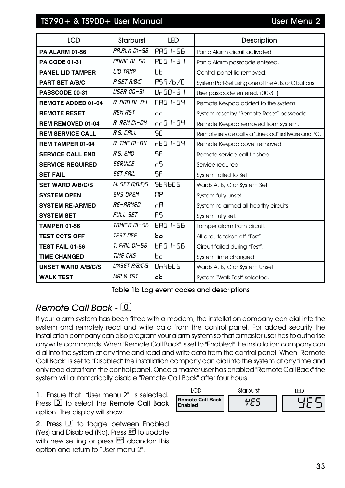| <b>LCD</b>                | <b>Starburst</b>      | <b>LED</b>                      | Description                                          |
|---------------------------|-----------------------|---------------------------------|------------------------------------------------------|
| <b>PA ALARM 01-56</b>     | <b>PR.RLM 01-56</b>   | <b>PRO 1-56</b>                 | Panic Alarm circuit activated.                       |
| <b>PA CODE 01-31</b>      | PRNIC 01-56           | $PCDI - 3I$                     | Panic Alarm passcode entered.                        |
| <b>PANEL LID TAMPER</b>   | LID TAMP              | LE                              | Control panel lid removed.                           |
| <b>PART SET A/B/C</b>     | P.SET R/B/C           | PSA/6/C                         | System Part-Set using one of the A, B, or C buttons. |
| PASSCODE 00-31            | USER 00-31            | $U - 00 - 31$                   | User passcode entered. (00-31).                      |
| <b>REMOTE ADDED 01-04</b> | R. AOO 01-04          | <b>FRO 1-04</b>                 | Remote Keypad added to the system.                   |
| <b>REMOTE RESET</b>       | <b>REM RST</b>        | ПC                              | System reset by "Remote Reset" passcode.             |
| <b>REM REMOVED 01-04</b>  | R. REM 01-04          | rr0 1-04                        | Remote Keypad removed from system.                   |
| <b>REM SERVICE CALL</b>   | R.S. CALL             | 5E                              | Remote service call via "Lineload" software and PC.  |
| <b>REM TAMPER 01-04</b>   | R. TMP 01-04          | $rE.D I-II$                     | Remote Keypad cover removed.                         |
| <b>SERVICE CALL END</b>   | <b>R.S. END</b>       | 5E                              | Remote service call finished.                        |
| <b>SERVICE REQUIRED</b>   | <b>SERVICE</b>        | r 5                             | Service required                                     |
| <b>SET FAIL</b>           | <b>SET FRIL</b>       | 5F                              | System failed to Set.                                |
| <b>SET WARD A/B/C/S</b>   | <b>U. SET R/B/C/S</b> | <b>SERBES</b>                   | Wards A, B, C or System Set.                         |
| <b>SYSTEM OPEN</b>        | <b>SYS OPEN</b>       | ΩP                              | System fully unset.                                  |
| <b>SYSTEM RE-ARMED</b>    | RE-ARMED              | r B                             | System re-armed all healthy circuits.                |
| <b>SYSTEM SET</b>         | FULL SET              | F5                              | System fully set.                                    |
| <b>TAMPER 01-56</b>       | <b>TRMP'R 01-56</b>   | E RO 1-56                       | Tamper alarm from circuit.                           |
| <b>TEST CCTS OFF</b>      | <b>TEST OFF</b>       | Eо                              | All circuits taken off "Test"                        |
| TEST FAIL 01-56           | T. FRIL 01-56         | EFD 1-56                        | Circuit failed during "Test".                        |
| <b>TIME CHANGED</b>       | TIME CHG              | Εc                              | System time changed                                  |
| <b>UNSET WARD A/B/C/S</b> | <b>UNSET R/B/C/S</b>  | U <sub>n</sub> BbC <sub>5</sub> | Wards A, B, C or System Unset.                       |
| <b>WALK TEST</b>          | <b>WRLK TST</b>       | cE                              | System "Walk Test" selected.                         |

Table 1b Log event codes and descriptions

# *Remote Call Back -*

If your alarm system has been fitted with a modem, the installation company can dial into the system and remotely read and write data from the control panel. For added security the installation company can also program your alarm system so that a master user has to authorise any write commands. When "Remote Call Back" is set to "Enabled" the installation company can dial into the system at any time and read and write data from the control panel. When "Remote Call Back" is set to "Disabled" the installation company can dial into the system at any time and only read data from the control panel. Once a master user has enabled "Remote Call Back" the system will automatically disable "Remote Call Back" after four hours.

1. Ensure that "User menu 2" is selected. Press  $\lceil 0 \rceil$  to select the Remote Call Back option. The display will show:

2. Press **B** to toggle between Enabled (Yes) and Disabled (No). Press ENT to update with new setting or press  $\epsilon$  abandon this option and return to "User menu 2".

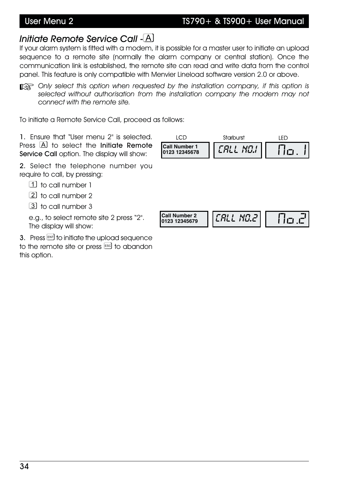# *Initiate Remote Service Call -*

If your alarm system is fitted with a modem, it is possible for a master user to initiate an upload sequence to a remote site (normally the alarm company or central station). Once the communication link is established, the remote site can read and write data from the control panel. This feature is only compatible with Menvier Lineload software version 2.0 or above.

**EXP** Only select this option when requested by the installation company, if this option is *selected without authorisation from the installation company the modem may not connect with the remote site.*

To initiate a Remote Service Call, proceed as follows:

1. Ensure that "User menu 2" is selected. Press  $\overline{A}$  to select the Initiate Remote Service Call option. The display will show:

2. Select the telephone number you require to call, by pressing:

to call number 1

2 to call number 2

[3] to call number 3

e.g., to select remote site 2 press "2". The display will show:

 $3.$  Press  $\overline{\phantom{a}}$  to initiate the upload sequence to the remote site or press Escl to abandon this option.

| LCD<br><b>Call Number 1</b><br>0123 12345678 | <b>Starburst</b><br>CALL NO.I | LED<br>No. I |
|----------------------------------------------|-------------------------------|--------------|
| <b>Call Number 2</b><br>0123 12345679        | $ {\it LRL}$ no.2 $ $         | 0.cl         |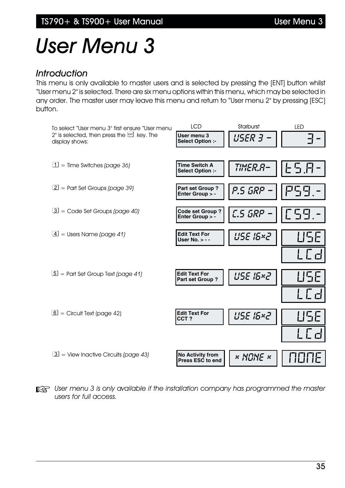# *User Menu 3*

#### *Introduction*

This menu is only available to master users and is selected by pressing the [ENT] button whilst "User menu 2" is selected. There are six menu options within this menu, which may be selected in any order. The master user may leave this menu and return to "User menu 2" by pressing [ESC] button.



**the User menu 3 is only available if the installation company has programmed the master** *users for full access.*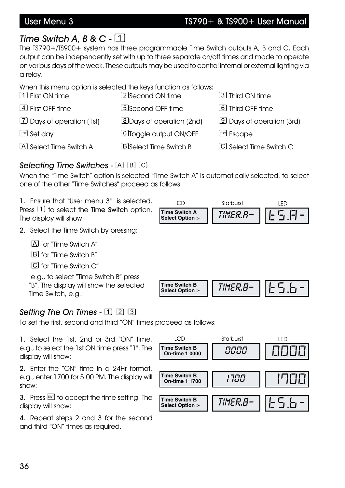## User Menu 3 TS790+ & TS900+ User Manual

# *Time Switch A, B & C -*

The TS790+/TS900+ system has three programmable Time Switch outputs A, B and C. Each output can be independently set with up to three separate on/off times and made to operate on various days of the week. These outputs may be used to control internal or external lighting via a relay.

When this menu option is selected the keys function as follows:

| 1 First ON time             | 2 Second ON time                 | 3 Third ON time                  |
|-----------------------------|----------------------------------|----------------------------------|
| 4 First OFF time            | 5 Second OFF time                | 6 Third OFF time                 |
| [7] Days of operation (1st) | <b>8</b> Days of operation (2nd) | <b>9</b> Days of operation (3rd) |
| <b>ENT</b> Set day          | <b>OToggle output ON/OFF</b>     | <sup>[ESC</sup> ] Escape         |
| A Select Time Switch A      | <b>B</b> Select Time Switch B    | C Select Time Switch C           |

#### *Selecting Time Switches --*

When the "Time Switch" option is selected "Time Switch A" is automatically selected, to select one of the other "Time Switches" proceed as follows:

1. Ensure that "User menu 3" is selected. Press  $\boxed{1}$  to select the Time Switch option. The display will show:



- 2. Select the Time Switch by pressing:
	- A for "Time Switch A"
	- [B] for "Time Switch B"
	- C for "Time Switch C"

e.g., to select "Time Switch B" press "B". The display will show the selected Time Switch, e.g.:



### *Setting The On Times - -*

To set the first, second and third "ON" times proceed as follows:

1. Select the 1st, 2nd or 3rd "ON" time, e.g., to select the 1st ON time press "1". The display will show:

2. Enter the "ON" time in a 24Hr format, e.g., enter 1700 for 5.00 PM. The display will show:

3. Press  $F$  to accept the time setting. The display will show:

4. Repeat steps 2 and 3 for the second and third "ON" times as required.

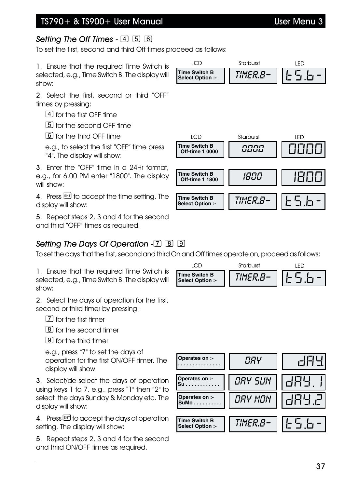#### TS790+ & TS900+ User Manual User Menu 3

### *Setting The Off Times -*

To set the first, second and third Off times proceed as follows:

1. Ensure that the required Time Switch is selected, e.g., Time Switch B. The display will show:

2. Select the first, second or third "OFF" times by pressing:

for the first OFF time

[5] for the second OFF time

for the third OFF time

e.g., to select the first "OFF" time press "4". The display will show:

3. Enter the "OFF" time in a 24Hr format, e.g., for 6.00 PM enter "1800". The display will show:

4. Press  $F$  to accept the time setting. The display will show:

5. Repeat steps 2, 3 and 4 for the second and third "OFF" times as required.

### *Setting The Days Of Operation -*

To set the days that the first, second and third On and Off times operate on, proceed as follows:

**LCD** 

1. Ensure that the required Time Switch is selected, e.g., Time Switch B. The display will show:

2. Select the days of operation for the first, second or third timer by pressing:

[7] for the first timer

[8] for the second timer

**[9]** for the third timer

e.g., press "7" to set the days of operation for the first ON/OFF timer. The display will show:

3. Select/de-select the days of operation using keys 1 to 7, e.g., press "1" then "2" to select the days Sunday & Monday etc. The display will show:

4. Press ENT to accept the days of operation setting. The display will show:

5. Repeat steps 2, 3 and 4 for the second and third ON/OFF times as required.

|                                   | arburst |  |
|-----------------------------------|---------|--|
| Time Switch B<br>Select Option :- |         |  |





Starburst

LED

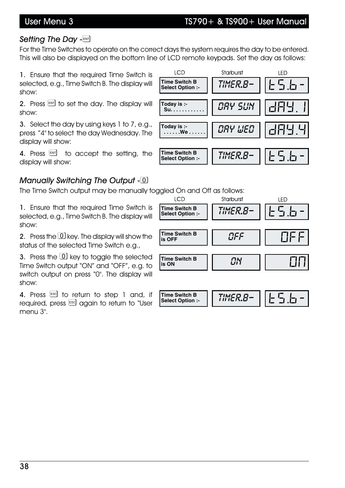## User Menu 3 TS790+ & TS900+ User Manual

### *Setting The Day -*

For the Time Switches to operate on the correct days the system requires the day to be entered. This will also be displayed on the bottom line of LCD remote keypads. Set the day as follows:

1. Ensure that the required Time Switch is selected, e.g., Time Switch B. The display will show:

2. Press  $F$  and to set the day. The display will show:

3. Select the day by using keys 1 to 7, e.g., press "4" to select the day Wednesday. The display will show:

4. Press  $FMT$  to accept the setting, the display will show:

#### *Manually Switching The Output -*<sup>*O*</sup>

The Time Switch output may be manually toggled On and Off as follows:

1. Ensure that the required Time Switch is selected, e.g., Time Switch B. The display will show:

2. Press the  $\overline{0}$  key. The display will show the status of the selected Time Switch e.g.,

3. Press the  $\Omega$  key to toggle the selected Time Switch output "ON" and "OFF", e.g. to switch output on press "0". The display will show:

4. Press  $\left[\begin{smallmatrix} 1 & 0 \\ 0 & 1 \end{smallmatrix}\right]$  and, if required, press Escl again to return to "User menu 3".



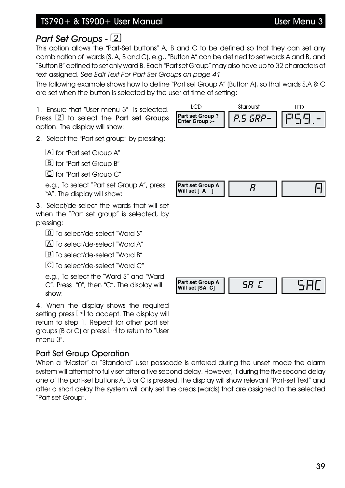### TS790+ & TS900+ User Manual User Menu 3

# *Part Set Groups - -*

This option allows the "Part-Set buttons" A, B and C to be defined so that they can set any combination of wards (S, A, B and C), e.g., "Button A" can be defined to set wards A and B, and "Button B" defined to set only ward B. Each "Part set Group" may also have up to 32 characters of text assigned. *See Edit Text For Part Set Groups on page 41.*

The following example shows how to define "Part set Group A" (Button A), so that wards S,A & C are set when the button is selected by the user at time of setting:

1. Ensure that "User menu 3" is selected. Press  $\boxed{2}$  to select the Part set Groups option. The display will show:

2. Select the "Part set group" by pressing:

[A] for "Part set Group A"

**B** for "Part set Group B"

for "Part set Group C"

e.g., To select "Part set Group A", press "A". The display will show:

3. Select/de-select the wards that will set when the "Part set group" is selected, by pressing:

To select/de-select "Ward S"

A To select/de-select "Ward A"

LBJ To select/de-select "Ward B"

[C] To select/de-select "Ward C"

e.g., To select the "Ward S" and "Ward C". Press "0", then "C". The display will show:

4. When the display shows the required setting press **ENT** to accept. The display will return to step 1. Repeat for other part set groups (B or C) or press  $\xi$  to return to "User menu 3".

#### Part Set Group Operation

When a "Master" or "Standard" user passcode is entered during the unset mode the alarm system will attempt to fully set after a five second delay. However, if during the five second delay one of the part-set buttons A, B or C is pressed, the display will show relevant "Part-set Text" and after a short delay the system will only set the areas (wards) that are assigned to the selected "Part set Group".



**LCD** Starburst LED **Part set Group ? Part set Group ?** | *P.5 GRP*.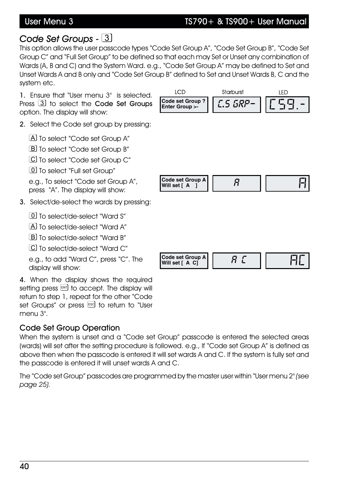#### User Menu 3 TS790+ & TS900+ User Manual

### *Code Set Groups -*

This option allows the user passcode types "Code Set Group A", "Code Set Group B", "Code Set Group C" and "Full Set Group" to be defined so that each may Set or Unset any combination of Wards (A, B and C) and the System Ward. e.g., "Code Set Group A" may be defined to Set and Unset Wards A and B only and "Code Set Group B" defined to Set and Unset Wards B, C and the system etc.

1. Ensure that "User menu 3" is selected. Press  $\boxed{3}$  to select the Code Set Groups option. The display will show:

2. Select the Code set group by pressing:

A To select "Code set Group A"

B To select "Code set Group B"

C To select "Code set Group C"

**10** To select "Full set Group"

e.g., To select "Code set Group A", press "A". The display will show:

#### 3. Select/de-select the wards by pressing:

To select/de-select "Ward S"

A To select/de-select "Ward A"

B To select/de-select "Ward B"

C To select/de-select "Ward C"

e.g., to add "Ward C", press "C". The display will show:

4. When the display shows the required setting press  $F$  to accept. The display will return to step 1, repeat for the other "Code set Groups" or press Escl to return to "User menu 3".

#### Code Set Group Operation

When the system is unset and a "Code set Group" passcode is entered the selected areas (wards) will set after the setting procedure is followed. e.g., If "Code set Group A" is defined as above then when the passcode is entered it will set wards A and C. If the system is fully set and the passcode is entered it will unset wards A and C.

The "Code set Group" passcodes are programmed by the master user within "User menu 2" *(see page 25).*

| <b>LCD</b>                                 | Starburst       | LED      |
|--------------------------------------------|-----------------|----------|
| <b>Code set Group?</b><br>Enter Group >-   | <b>C.S GRP-</b> | $E59. -$ |
|                                            |                 |          |
|                                            |                 |          |
|                                            |                 |          |
| <b>Code set Group A</b><br>Will set [A]    | $\overline{H}$  |          |
|                                            |                 |          |
|                                            |                 |          |
|                                            |                 |          |
| <b>Code set Group A</b><br>Will set [ A C] | $R \nL$         |          |
|                                            |                 |          |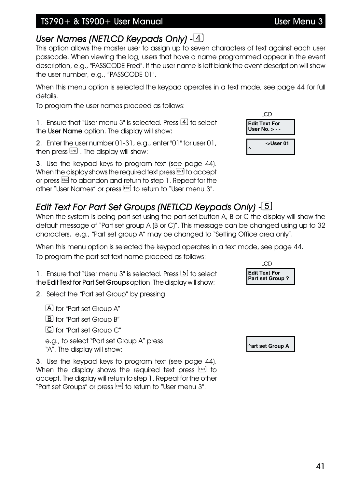#### TS790+ & TS900+ User Manual User Menu 3

# *User Names (NETLCD Keypads Only) -*

This option allows the master user to assign up to seven characters of text against each user passcode. When viewing the log, users that have a name programmed appear in the event description, e.g., "PASSCODE Fred". If the user name is left blank the event description will show the user number, e.g., "PASSCODE 01".

When this menu option is selected the keypad operates in a text mode, see page 44 for full details.

To program the user names proceed as follows:

1. Ensure that "User menu  $3$ " is selected. Press  $\overline{4}$  to select the User Name option. The display will show:

2. Enter the user number 01-31, e.g., enter "01" for user 01, then press  $[III]$ . The display will show:

3. Use the keypad keys to program text (see page 44). When the display shows the required text press  $\mathbb{F}$  to accept or press  $\epsilon$  to abandon and return to step 1. Repeat for the other "User Names" or press <sup>[550]</sup> to return to "User menu 3".

# *Edit Text For Part Set Groups (NETLCD Keypads Only) -*

When the system is being part-set using the part-set button A, B or C the display will show the default message of "Part set group A (B or C)". This message can be changed using up to 32 characters, e.g., "Part set group A" may be changed to "Setting Office area only".

When this menu option is selected the keypad operates in a text mode, see page 44. To program the part-set text name proceed as follows:

1. Ensure that "User menu 3" is selected. Press [5] to select the Edit Text for Part Set Groups option. The display will show:

2. Select the "Part set Group" by pressing:

for "Part set Group A"

**B** for "Part set Group B"

C for "Part set Group C"

e.g., to select "Part set Group A" press "A". The display will show:

3. Use the keypad keys to program text (see page 44). When the display shows the required text press  $\lfloor \frac{m}{2} \rfloor$  to accept. The display will return to step 1. Repeat for the other "Part set Groups" or press **ESG** to return to "User menu 3".

**LCD Edit Text For Part set Group ?**

**^art set Group A**

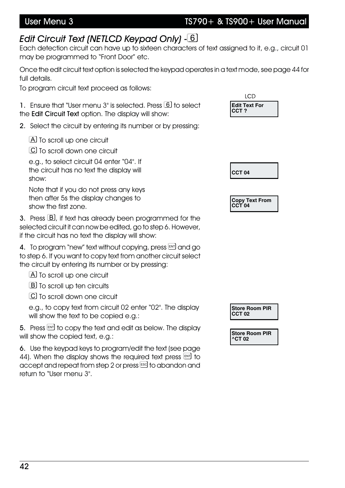#### User Menu 3 TS790+ & TS900+ User Manual

# *Edit Circuit Text (NETLCD Keypad Only) -*

Each detection circuit can have up to sixteen characters of text assigned to it, e.g., circuit 01 may be programmed to "Front Door" etc.

Once the edit circuit text option is selected the keypad operates in a text mode, see page 44 for full details.

To program circuit text proceed as follows:

1. Ensure that "User menu 3" is selected. Press 6 to select the Edit Circuit Text option. The display will show:

2. Select the circuit by entering its number or by pressing:

[A] To scroll up one circuit

C To scroll down one circuit

e.g., to select circuit 04 enter "04". If the circuit has no text the display will show:

Note that if you do not press any keys then after 5s the display changes to show the first zone.

3. Press  $\mathbb B$ , if text has already been programmed for the selected circuit it can now be edited, go to step 6. However, if the circuit has no text the display will show:

4. To program "new" text without copying, press  $\mathbb{R}$  and go to step 6. If you want to copy text from another circuit select the circuit by entering its number or by pressing:

[A] To scroll up one circuit

**B** To scroll up ten circuits

C To scroll down one circuit

e.g., to copy text from circuit 02 enter "02". The display will show the text to be copied e.g.:

5. Press ENT to copy the text and edit as below. The display will show the copied text, e.g.:

6. Use the keypad keys to program/edit the text (see page 44). When the display shows the required text press  $\boxed{\phantom{0}^{[8]}$  to accept and repeat from step 2 or press [ss] to abandon and return to "User menu 3".





**Copy Text From CCT 04**

**Store Room PIR CCT 02**

**Store Room PIR ^CT 02**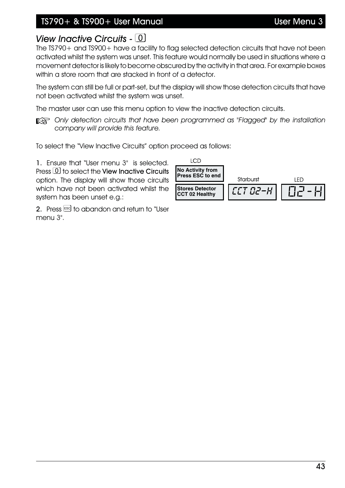### TS790+ & TS900+ User Manual User Menu 3

### *View Inactive Circuits -* 0

The TS790+ and TS900+ have a facility to flag selected detection circuits that have not been activated whilst the system was unset. This feature would normally be used in situations where a movement detector is likely to become obscured by the activity in that area. For example boxes within a store room that are stacked in front of a detector.

The system can still be full or part-set, but the display will show those detection circuits that have not been activated whilst the system was unset.

The master user can use this menu option to view the inactive detection circuits.

**EX** Only detection circuits that have been programmed as "Flagged" by the installation *company will provide this feature.*

To select the "View Inactive Circuits" option proceed as follows:

1. Ensure that "User menu 3" is selected. Press  $\boxed{0}$  to select the View Inactive Circuits option. The display will show those circuits which have not been activated whilst the system has been unset e.g.:

2. Press Escl to abandon and return to "User menu 3".

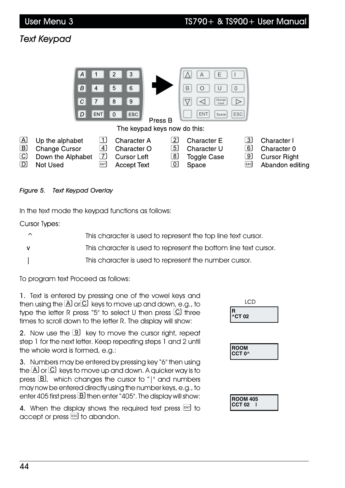# *Text Keypad*

|                                                                                                    | $\mathcal{A}_{\mathcal{A}}$<br>В<br>4<br>C<br>D<br>ENT                                                                                                | 3<br>2<br>5<br>6<br>8<br>9<br>$\left\lceil \textsf{esc} \right\rceil$<br>$\mathbf 0$<br>Press B<br>The keypad keys now do this: | E<br>Α<br>В<br>U<br>$\mathbf 0$<br>C<br>Change <sup>r</sup><br>$\triangleright$<br>Case<br><b>ESC</b><br><b>ENT</b><br>Space                                                         |                                                                      |
|----------------------------------------------------------------------------------------------------|-------------------------------------------------------------------------------------------------------------------------------------------------------|---------------------------------------------------------------------------------------------------------------------------------|--------------------------------------------------------------------------------------------------------------------------------------------------------------------------------------|----------------------------------------------------------------------|
| $\left[ \begin{matrix} \Delta \end{matrix} \right]$<br>$\boxed{B}$<br>$\boxed{\text{C}}$<br>$\Box$ | $\mathbf{1}$<br>Up the alphabet<br>$\boxed{4}$<br><b>Change Cursor</b><br>$\left\lceil 7 \right\rceil$<br>Down the Alphabet<br><b>Not Used</b><br>ENT | <b>Character A</b><br>Character O<br><b>Cursor Left</b><br><b>Accept Text</b>                                                   | $\lfloor 2 \rfloor$<br>$\overline{3}$<br><b>Character E</b><br>$\overline{5}$<br>6<br>Character U<br>$\boxed{8}$<br>$\boxed{9}$<br><b>Toggle Case</b><br>$\boxed{0}$<br>Space<br>ESC | Character I<br>Character 0<br><b>Cursor Right</b><br>Abandon editing |

#### *Figure 5. Text Keypad Overlay*

In the text mode the keypad functions as follows:

**Cursor Types:** 

| ⌒ | This character is used to represent the top line text cursor.    |
|---|------------------------------------------------------------------|
|   | This character is used to represent the bottom line text cursor. |
|   | This character is used to represent the number cursor.           |

To program text Proceed as follows:

1. Text is entered by pressing one of the vowel keys and then using the  $\overline{A}$  or  $\overline{C}$  keys to move up and down, e.g., to type the letter R press "5" to select U then press  $\overline{C}$  three times to scroll down to the letter R. The display will show:

2. Now use the  $\boxed{9}$  key to move the cursor right, repeat step 1 for the next letter. Keep repeating steps 1 and 2 until the whole word is formed, e.g.:

3. Numbers may be entered by pressing key "6" then using the  $\boxtimes$  or  $\textcircled{C}$  keys to move up and down. A quicker way is to press  $\boxed{B}$ , which changes the cursor to "|" and numbers may now be entered directly using the number keys, e.g., to enter 405 first press  $\boxed{B}$  then enter "405". The display will show:

4. When the display shows the required text press  $\boxed{\phantom{0}^{[6]} }$  to accept or press  $53$  to abandon.

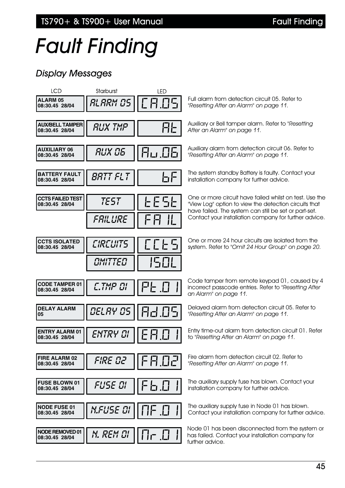TS790+ & TS900+ User Manual Fault Finding

# *Fault Finding*

# *Display Messages*

| <b>LCD</b>                                | Starburst        | LED                      |                                                                                                                                                                                                                                    |
|-------------------------------------------|------------------|--------------------------|------------------------------------------------------------------------------------------------------------------------------------------------------------------------------------------------------------------------------------|
| <b>ALARM 05</b><br>08:30.45 28/04         | ALARM OS         | C 8.05                   | Full alarm from detection circuit 05. Refer to<br>"Resetting After an Alarm" on page 11.                                                                                                                                           |
| <b>AUX/BELL TAMPER</b><br>08:30.45 28/04  | <b>RUX TMP</b>   | <u>FIF</u>               | Auxiliary or Bell tamper alarm. Refer to "Resetting<br>After an Alarm" on page 11.                                                                                                                                                 |
| <b>AUXILIARY 06</b><br>08:30.45 28/04     | RUX OS           | 80.06                    | Auxiliary alarm from detection circuit 06. Refer to<br>"Resetting After an Alarm" on page 11.                                                                                                                                      |
| <b>BATTERY FAULT</b><br>08:30.45 28/04    | <i>BRTT FLT</i>  | 七日                       | The system standby Battery is faulty. Contact your<br>installation company for further advice.                                                                                                                                     |
| <b>CCTS FAILED TEST</b><br>08:30.45 28/04 | TEST<br>FAILURE  | 255<br><u>  </u><br>┠╴┠┨ | One or more circuit have failed whilst on test. Use the<br>"View Log" option to view the detection circuits that<br>have failed. The system can still be set or part-set.<br>Contact your installation company for further advice. |
|                                           |                  |                          |                                                                                                                                                                                                                                    |
| <b>CCTS ISOLATED</b><br>08:30.45 28/04    | <b>CIRCUITS</b>  | E E E E                  | One or more 24 hour circuits are isolated from the<br>system. Refer to "Omit 24 Hour Group" on page 20.                                                                                                                            |
|                                           | OMITTED          | 1501                     |                                                                                                                                                                                                                                    |
| <b>CODE TAMPER 01</b><br>08:30.45 28/04   | C.TMP OI         | FE 0                     | Code tamper from remote keypad 01, caused by 4<br>incorrect passcode entries. Refer to "Resetting After<br>an Alarm" on page 11.                                                                                                   |
| <b>DELAY ALARM</b><br>05                  | <i>DEL RY 05</i> | 82.05                    | Delayed alarm from detection circuit 05. Refer to<br>"Resetting After an Alarm" on page 11.                                                                                                                                        |
| <b>ENTRY ALARM 01</b><br>08:30.45 28/04   | ENTRY CI         | E X J                    | Entry time-out alarm from detection circuit 01. Refer<br>to "Resetting After an Alarm" on page 11.                                                                                                                                 |
| FIRE ALARM 02<br>08:30.45 28/04           | FIRE DZ          | <b>FA.02</b>             | Fire alarm from detection circuit 02. Refer to<br>"Resetting After an Alarm" on page 11.                                                                                                                                           |
| <b>FUSE BLOWN 01</b><br>08:30.45 28/04    | FUSE DI          | F 5 0                    | The auxiliary supply fuse has blown. Contact your<br>installation company for further advice.                                                                                                                                      |
| <b>NODE FUSE 01</b><br>08:30.45 28/04     | <i>N.FUSE DI</i> | $\Box F$ $\Box$          | The auxiliary supply fuse in Node 01 has blown.<br>Contact your installation company for further advice.                                                                                                                           |
| NODE REMOVED 01<br>08:30.45 28/04         | <i>N. REM DI</i> | $\prod_{i=1}^{n}$        | Node 01 has been disconnected from the system or<br>has failed. Contact your installation company for<br>further advice.                                                                                                           |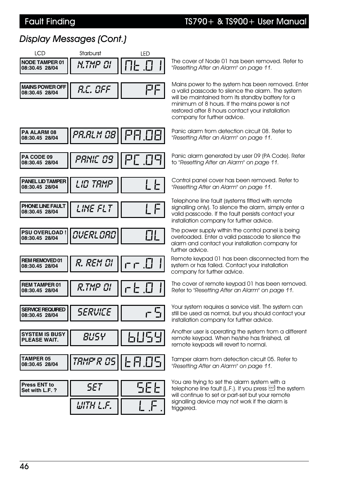#### Fault Finding TS790+ & TS900+ User Manual

# *Display Messages (Cont.)*

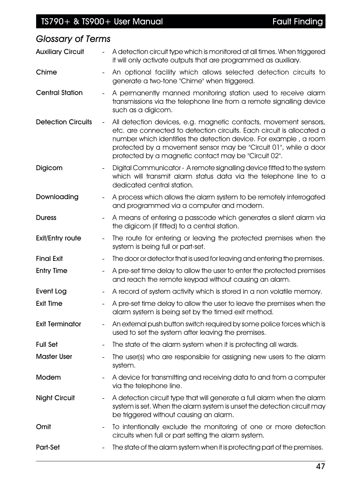| <b>Glossary of Terms</b>  |                              |                                                                                                                                                                                                                                                                                                                                            |
|---------------------------|------------------------------|--------------------------------------------------------------------------------------------------------------------------------------------------------------------------------------------------------------------------------------------------------------------------------------------------------------------------------------------|
| <b>Auxiliary Circuit</b>  | $\overline{\phantom{a}}$     | A detection circuit type which is monitored at all times. When triggered<br>it will only activate outputs that are programmed as auxiliary.                                                                                                                                                                                                |
| Chime                     |                              | An optional facility which allows selected detection circuits to<br>generate a two-tone "Chime" when triggered.                                                                                                                                                                                                                            |
| <b>Central Station</b>    | $\blacksquare$               | A permanently manned monitoring station used to receive alarm<br>transmissions via the telephone line from a remote signalling device<br>such as a digicom.                                                                                                                                                                                |
| <b>Detection Circuits</b> | $\qquad \qquad \blacksquare$ | All detection devices, e.g. magnetic contacts, movement sensors,<br>etc. are connected to detection circuits. Each circuit is allocated a<br>number which identifies the detection device. For example, a room<br>protected by a movement sensor may be "Circuit 01", while a door<br>protected by a magnetic contact may be "Circuit 02". |
| Digicom                   |                              | Digital Communicator - A remote signalling device fitted to the system<br>which will transmit alarm status data via the telephone line to a<br>dedicated central station.                                                                                                                                                                  |
| Downloading               | $\qquad \qquad -$            | A process which allows the alarm system to be remotely interrogated<br>and programmed via a computer and modem.                                                                                                                                                                                                                            |
| <b>Duress</b>             | $\overline{\phantom{a}}$     | A means of entering a passcode which generates a silent alarm via<br>the digicom (if fitted) to a central station.                                                                                                                                                                                                                         |
| <b>Exit/Entry route</b>   |                              | The route for entering or leaving the protected premises when the<br>system is being full or part-set.                                                                                                                                                                                                                                     |
| <b>Final Exit</b>         |                              | The door or detector that is used for leaving and entering the premises.                                                                                                                                                                                                                                                                   |
| <b>Entry Time</b>         | $\overline{\phantom{a}}$     | A pre-set time delay to allow the user to enter the protected premises<br>and reach the remote keypad without causing an alarm.                                                                                                                                                                                                            |
| <b>Event Log</b>          |                              | A record of system activity which is stored in a non volatile memory.                                                                                                                                                                                                                                                                      |
| <b>Exit Time</b>          |                              | A pre-set time delay to allow the user to leave the premises when the<br>alarm system is being set by the timed exit method.                                                                                                                                                                                                               |
| <b>Exit Terminator</b>    |                              | An external push button switch required by some police forces which is<br>used to set the system after leaving the premises.                                                                                                                                                                                                               |
| <b>Full Set</b>           |                              | The state of the alarm system when it is protecting all wards.                                                                                                                                                                                                                                                                             |
| <b>Master User</b>        |                              | The user(s) who are responsible for assigning new users to the alarm<br>system.                                                                                                                                                                                                                                                            |
| Modem                     |                              | A device for transmitting and receiving data to and from a computer<br>via the telephone line.                                                                                                                                                                                                                                             |
| <b>Night Circuit</b>      | $\qquad \qquad -$            | A detection circuit type that will generate a full alarm when the alarm<br>system is set. When the alarm system is unset the detection circuit may<br>be triggered without causing an alarm.                                                                                                                                               |
| Omit                      | $\overline{\phantom{a}}$     | To intentionally exclude the monitoring of one or more detection<br>circuits when full or part setting the alarm system.                                                                                                                                                                                                                   |
| Part-Set                  |                              | The state of the alarm system when it is protecting part of the premises.                                                                                                                                                                                                                                                                  |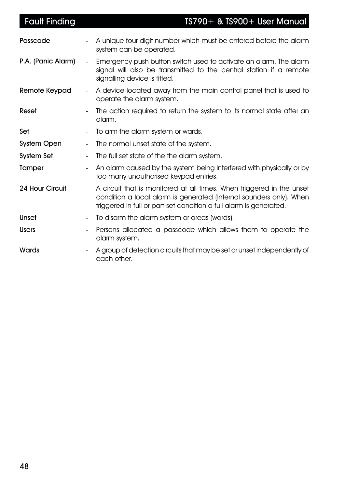| <b>Fault Finding</b> |                          | TS790+ & TS900+ User Manual                                                                                                                                                                                        |
|----------------------|--------------------------|--------------------------------------------------------------------------------------------------------------------------------------------------------------------------------------------------------------------|
| Passcode             |                          | A unique four digit number which must be entered before the alarm<br>system can be operated.                                                                                                                       |
| P.A. (Panic Alarm)   | $\blacksquare$           | Emergency push button switch used to activate an alarm. The alarm<br>signal will also be transmitted to the central station if a remote<br>signalling device is fitted.                                            |
| Remote Keypad        | $\blacksquare$           | A device located away from the main control panel that is used to<br>operate the alarm system.                                                                                                                     |
| Reset                | $\overline{\phantom{a}}$ | The action required to return the system to its normal state after an<br>alarm.                                                                                                                                    |
| Set                  |                          | To arm the alarm system or wards.                                                                                                                                                                                  |
| <b>System Open</b>   | $\overline{\phantom{a}}$ | The normal unset state of the system.                                                                                                                                                                              |
| <b>System Set</b>    | $\overline{\phantom{a}}$ | The full set state of the the alarm system.                                                                                                                                                                        |
| Tamper               | $\blacksquare$           | An alarm caused by the system being interfered with physically or by<br>too many unauthorised keypad entries.                                                                                                      |
| 24 Hour Circuit      | $\blacksquare$           | A circuit that is monitored at all times. When triggered in the unset<br>condition a local alarm is generated (Internal sounders only). When<br>triggered in full or part-set condition a full alarm is generated. |
| Unset                | $\overline{\phantom{a}}$ | To disarm the alarm system or areas (wards).                                                                                                                                                                       |
| <b>Users</b>         |                          | Persons allocated a passcode which allows them to operate the<br>alarm system.                                                                                                                                     |
| Wards                |                          | A group of detection circuits that may be set or unset independently of<br>each other.                                                                                                                             |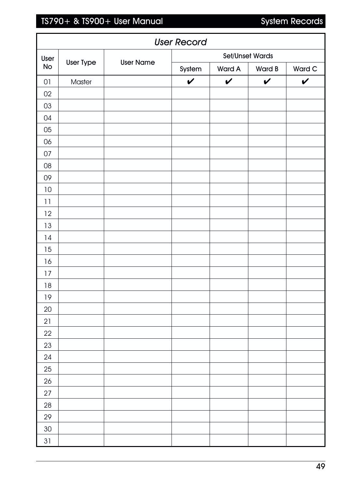# TS790+ & TS900+ User Manual System Records

Ï

| <b>User Record</b> |                  |                  |                 |               |              |              |
|--------------------|------------------|------------------|-----------------|---------------|--------------|--------------|
| User               |                  |                  | Set/Unset Wards |               |              |              |
| <b>No</b>          | <b>User Type</b> | <b>User Name</b> | System          | <b>Ward A</b> | Ward B       | Ward C       |
| $01\,$             | Master           |                  | $\checkmark$    | $\checkmark$  | $\checkmark$ | $\checkmark$ |
| 02                 |                  |                  |                 |               |              |              |
| 03                 |                  |                  |                 |               |              |              |
| 04                 |                  |                  |                 |               |              |              |
| $05\,$             |                  |                  |                 |               |              |              |
| 06                 |                  |                  |                 |               |              |              |
| $07$               |                  |                  |                 |               |              |              |
| ${\bf 08}$         |                  |                  |                 |               |              |              |
| 09                 |                  |                  |                 |               |              |              |
| $10\,$             |                  |                  |                 |               |              |              |
| 11                 |                  |                  |                 |               |              |              |
| 12                 |                  |                  |                 |               |              |              |
| 13                 |                  |                  |                 |               |              |              |
| 14                 |                  |                  |                 |               |              |              |
| 15                 |                  |                  |                 |               |              |              |
| 16                 |                  |                  |                 |               |              |              |
| 17                 |                  |                  |                 |               |              |              |
| 18                 |                  |                  |                 |               |              |              |
| $19$               |                  |                  |                 |               |              |              |
| $20\,$             |                  |                  |                 |               |              |              |
| 21                 |                  |                  |                 |               |              |              |
| 22                 |                  |                  |                 |               |              |              |
| 23                 |                  |                  |                 |               |              |              |
| 24                 |                  |                  |                 |               |              |              |
| $25\,$             |                  |                  |                 |               |              |              |
| 26                 |                  |                  |                 |               |              |              |
| 27                 |                  |                  |                 |               |              |              |
| $28\,$             |                  |                  |                 |               |              |              |
| 29                 |                  |                  |                 |               |              |              |
| $30\,$             |                  |                  |                 |               |              |              |
| $31\,$             |                  |                  |                 |               |              |              |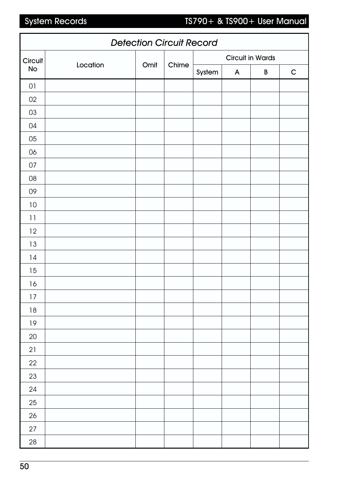# System Records TS790+ & TS900+ User Manual

| <b>Detection Circuit Record</b> |          |      |       |                         |              |   |              |
|---------------------------------|----------|------|-------|-------------------------|--------------|---|--------------|
| Circuit                         |          |      |       | <b>Circuit in Wards</b> |              |   |              |
| <b>No</b>                       | Location | Omit | Chime | System                  | $\mathsf{A}$ | B | $\mathsf{C}$ |
| $01\,$                          |          |      |       |                         |              |   |              |
| 02                              |          |      |       |                         |              |   |              |
| 03                              |          |      |       |                         |              |   |              |
| 04                              |          |      |       |                         |              |   |              |
| 05                              |          |      |       |                         |              |   |              |
| 06                              |          |      |       |                         |              |   |              |
| 07                              |          |      |       |                         |              |   |              |
| $08\,$                          |          |      |       |                         |              |   |              |
| 09                              |          |      |       |                         |              |   |              |
| 10                              |          |      |       |                         |              |   |              |
| 11                              |          |      |       |                         |              |   |              |
| 12                              |          |      |       |                         |              |   |              |
| 13                              |          |      |       |                         |              |   |              |
| 14                              |          |      |       |                         |              |   |              |
| 15                              |          |      |       |                         |              |   |              |
| 16                              |          |      |       |                         |              |   |              |
| $17$                            |          |      |       |                         |              |   |              |
| $18\,$                          |          |      |       |                         |              |   |              |
| $19$                            |          |      |       |                         |              |   |              |
| $20\,$                          |          |      |       |                         |              |   |              |
| 21                              |          |      |       |                         |              |   |              |
| 22                              |          |      |       |                         |              |   |              |
| 23                              |          |      |       |                         |              |   |              |
| 24                              |          |      |       |                         |              |   |              |
| 25                              |          |      |       |                         |              |   |              |
| 26                              |          |      |       |                         |              |   |              |
| 27                              |          |      |       |                         |              |   |              |
| $28\,$                          |          |      |       |                         |              |   |              |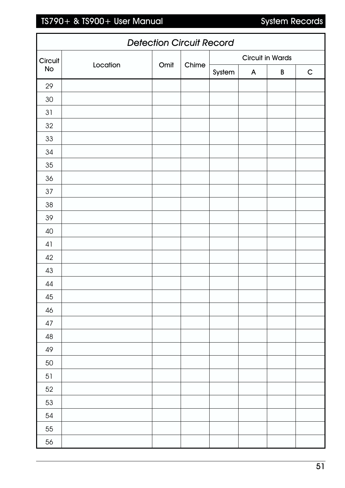# TS790+ & TS900+ User Manual System Records

|         | <b>Detection Circuit Record</b> |      |       |        |              |                         |              |
|---------|---------------------------------|------|-------|--------|--------------|-------------------------|--------------|
| Circuit |                                 |      |       |        |              | <b>Circuit in Wards</b> |              |
| No      | Location                        | Omit | Chime | System | $\mathsf{A}$ | $\, {\bf B}$            | $\mathsf{C}$ |
| 29      |                                 |      |       |        |              |                         |              |
| $30\,$  |                                 |      |       |        |              |                         |              |
| 31      |                                 |      |       |        |              |                         |              |
| $32\,$  |                                 |      |       |        |              |                         |              |
| $33\,$  |                                 |      |       |        |              |                         |              |
| 34      |                                 |      |       |        |              |                         |              |
| $35\,$  |                                 |      |       |        |              |                         |              |
| 36      |                                 |      |       |        |              |                         |              |
| 37      |                                 |      |       |        |              |                         |              |
| 38      |                                 |      |       |        |              |                         |              |
| 39      |                                 |      |       |        |              |                         |              |
| 40      |                                 |      |       |        |              |                         |              |
| 41      |                                 |      |       |        |              |                         |              |
| 42      |                                 |      |       |        |              |                         |              |
| 43      |                                 |      |       |        |              |                         |              |
| 44      |                                 |      |       |        |              |                         |              |
| $45\,$  |                                 |      |       |        |              |                         |              |
| 46      |                                 |      |       |        |              |                         |              |
| $47\,$  |                                 |      |       |        |              |                         |              |
| 48      |                                 |      |       |        |              |                         |              |
| 49      |                                 |      |       |        |              |                         |              |
| 50      |                                 |      |       |        |              |                         |              |
| 51      |                                 |      |       |        |              |                         |              |
| 52      |                                 |      |       |        |              |                         |              |
| 53      |                                 |      |       |        |              |                         |              |
| 54      |                                 |      |       |        |              |                         |              |
| 55      |                                 |      |       |        |              |                         |              |
| 56      |                                 |      |       |        |              |                         |              |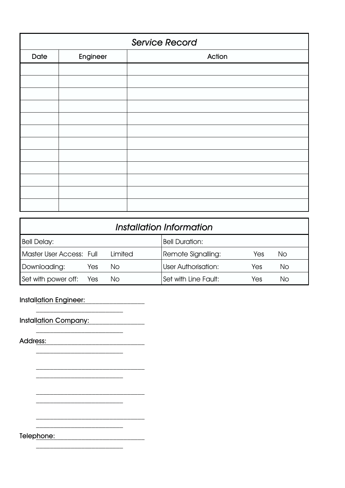|      | <b>Service Record</b> |        |  |  |  |
|------|-----------------------|--------|--|--|--|
| Date | Engineer              | Action |  |  |  |
|      |                       |        |  |  |  |
|      |                       |        |  |  |  |
|      |                       |        |  |  |  |
|      |                       |        |  |  |  |
|      |                       |        |  |  |  |
|      |                       |        |  |  |  |
|      |                       |        |  |  |  |
|      |                       |        |  |  |  |
|      |                       |        |  |  |  |
|      |                       |        |  |  |  |
|      |                       |        |  |  |  |
|      |                       |        |  |  |  |

| Installation Information |     |         |                            |     |    |
|--------------------------|-----|---------|----------------------------|-----|----|
| <b>Bell Delay:</b>       |     |         | <b>Bell Duration:</b>      |     |    |
| Master User Access: Full |     | Limited | Remote Signalling:         | Yes | No |
| Downloading:             | Yes | No.     | <b>User Authorisation:</b> | Yes | No |
| Set with power off: Yes  |     | No.     | Set with Line Fault:       | Yes | No |

Installation Engineer: \_\_\_\_\_\_\_\_\_\_\_\_\_\_\_\_\_\_\_\_\_\_\_\_\_\_\_\_\_\_\_

Installation Company:

\_\_\_\_\_\_\_\_\_\_\_\_\_\_\_\_\_\_\_\_\_\_\_\_\_

 $\frac{1}{2}$  ,  $\frac{1}{2}$  ,  $\frac{1}{2}$  ,  $\frac{1}{2}$  ,  $\frac{1}{2}$  ,  $\frac{1}{2}$  ,  $\frac{1}{2}$ 

 $\overline{\phantom{a}}$  ,  $\overline{\phantom{a}}$  ,  $\overline{\phantom{a}}$  ,  $\overline{\phantom{a}}$  ,  $\overline{\phantom{a}}$  ,  $\overline{\phantom{a}}$  ,  $\overline{\phantom{a}}$  ,  $\overline{\phantom{a}}$  ,  $\overline{\phantom{a}}$  ,  $\overline{\phantom{a}}$  ,  $\overline{\phantom{a}}$  ,  $\overline{\phantom{a}}$  ,  $\overline{\phantom{a}}$  ,  $\overline{\phantom{a}}$  ,  $\overline{\phantom{a}}$  ,  $\overline{\phantom{a}}$ 

\_\_\_\_\_\_\_\_\_\_\_\_\_\_\_\_\_\_\_\_\_\_\_\_\_

 $\mathcal{L}_\text{max}$  , where  $\mathcal{L}_\text{max}$ 

\_\_\_\_\_\_\_\_\_\_\_\_\_\_\_\_\_\_\_\_\_\_\_\_\_\_\_\_\_\_\_

\_\_\_\_\_\_\_\_\_\_\_\_\_\_\_\_\_\_\_\_\_\_\_\_\_

Address: \_\_\_\_\_\_\_\_\_\_\_\_\_\_\_\_\_\_\_\_\_\_\_\_\_\_\_\_\_\_\_

Telephone: